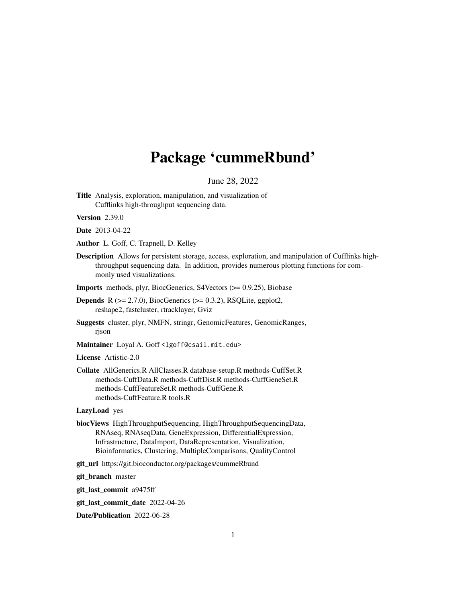# Package 'cummeRbund'

June 28, 2022

Title Analysis, exploration, manipulation, and visualization of Cufflinks high-throughput sequencing data.

Version 2.39.0

Date 2013-04-22

- Author L. Goff, C. Trapnell, D. Kelley
- Description Allows for persistent storage, access, exploration, and manipulation of Cufflinks highthroughput sequencing data. In addition, provides numerous plotting functions for commonly used visualizations.

Imports methods, plyr, BiocGenerics, S4Vectors (>= 0.9.25), Biobase

- **Depends** R  $(>= 2.7.0)$ , BiocGenerics  $(>= 0.3.2)$ , RSQLite, ggplot2, reshape2, fastcluster, rtracklayer, Gviz
- Suggests cluster, plyr, NMFN, stringr, GenomicFeatures, GenomicRanges, rjson
- Maintainer Loyal A. Goff <lgoff@csail.mit.edu>

License Artistic-2.0

Collate AllGenerics.R AllClasses.R database-setup.R methods-CuffSet.R methods-CuffData.R methods-CuffDist.R methods-CuffGeneSet.R methods-CuffFeatureSet.R methods-CuffGene.R methods-CuffFeature.R tools.R

### LazyLoad yes

- biocViews HighThroughputSequencing, HighThroughputSequencingData, RNAseq, RNAseqData, GeneExpression, DifferentialExpression, Infrastructure, DataImport, DataRepresentation, Visualization, Bioinformatics, Clustering, MultipleComparisons, QualityControl
- git\_url https://git.bioconductor.org/packages/cummeRbund

git\_branch master

git\_last\_commit a9475ff

git\_last\_commit\_date 2022-04-26

Date/Publication 2022-06-28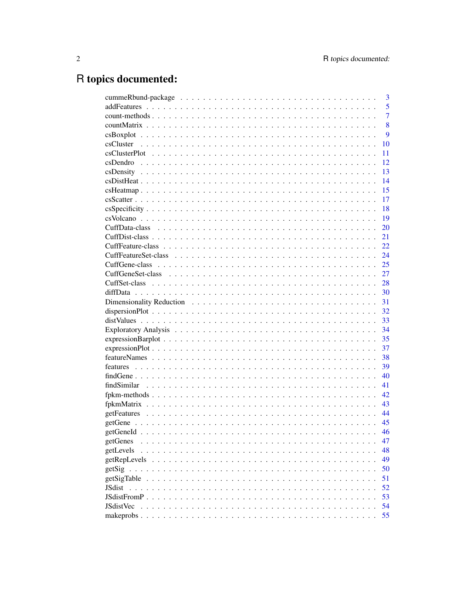# R topics documented:

| 3                      |
|------------------------|
| 5                      |
| $\overline{7}$         |
| 8                      |
| 9                      |
| 10                     |
| 11                     |
| 12                     |
| 13                     |
| 14                     |
| 15                     |
| 17                     |
| 18                     |
| 19                     |
| 20                     |
| 21                     |
| 22                     |
| 24                     |
| 25                     |
| 27                     |
| 28                     |
| 30                     |
| 31                     |
| 32                     |
| 33                     |
| 34                     |
| 35                     |
| 37                     |
| 38                     |
| 39                     |
| 40                     |
| 41                     |
| 42                     |
| 43                     |
| 44                     |
| 45                     |
| 46                     |
| getGenes<br>47         |
| getLevels<br>48        |
| getRepLevels<br>49     |
| 50                     |
| getSigTable<br>51      |
| <b>JSdist</b><br>52    |
| 53                     |
| <b>JSdistVec</b><br>54 |
| 55                     |
|                        |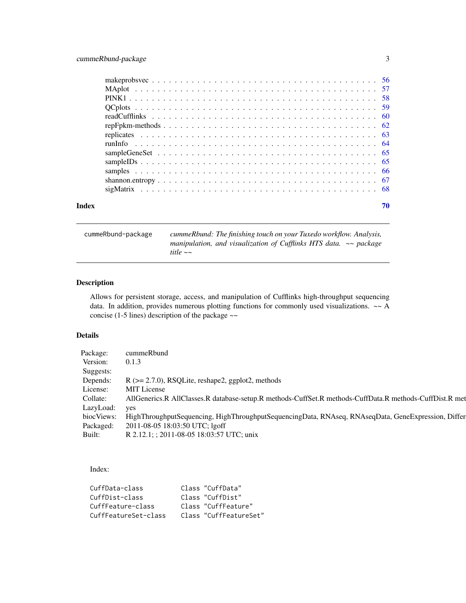<span id="page-2-0"></span>

| 70 |
|----|
|    |
|    |
|    |
|    |
|    |
|    |
|    |
|    |
|    |
|    |
|    |
|    |
|    |
|    |

cummeRbund-package *cummeRbund: The finishing touch on your Tuxedo workflow. Analysis, manipulation, and visualization of Cufflinks HTS data. ~~ package title ~~*

# Description

Allows for persistent storage, access, and manipulation of Cufflinks high-throughput sequencing data. In addition, provides numerous plotting functions for commonly used visualizations. ~~ A concise (1-5 lines) description of the package ~~

# Details

| Package:      | cummeRbund                                                                                              |  |
|---------------|---------------------------------------------------------------------------------------------------------|--|
| Version:      | 0.1.3                                                                                                   |  |
| Suggests:     |                                                                                                         |  |
| Depends:      | $R$ ( $>= 2.7.0$ ), RSQLite, reshape2, ggplot2, methods                                                 |  |
| License:      | MIT License                                                                                             |  |
| Collate:      | AllGenerics.R AllClasses.R database-setup.R methods-CuffSet.R methods-CuffData.R methods-CuffDist.R met |  |
| LazyLoad: yes |                                                                                                         |  |
| biocViews:    | HighThroughputSequencing, HighThroughputSequencingData, RNAseq, RNAseqData, GeneExpression, Differ      |  |
| Packaged:     | 2011-08-05 18:03:50 UTC; lgoff                                                                          |  |
| Built:        | R 2.12.1; ; 2011-08-05 18:03:57 UTC; unix                                                               |  |

Index:

| CuffData-class       | Class "CuffData"       |
|----------------------|------------------------|
| CuffDist-class       | Class "CuffDist"       |
| CuffFeature-class    | Class "CuffFeature"    |
| CuffFeatureSet-class | Class "CuffFeatureSet" |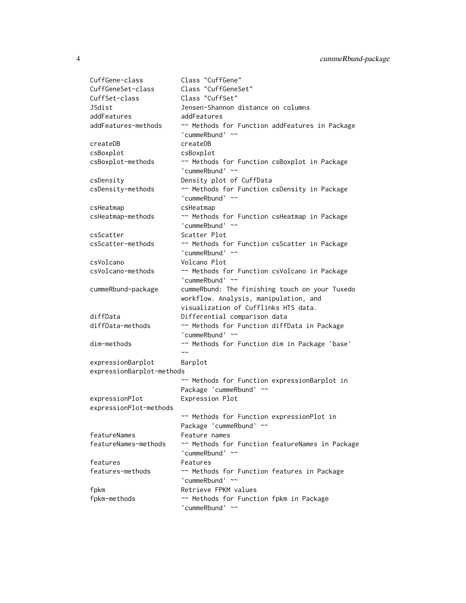| Class "CuffGeneSet"<br>Class "CuffSet"                          |
|-----------------------------------------------------------------|
|                                                                 |
|                                                                 |
| Jensen-Shannon distance on columns                              |
| addFeatures                                                     |
| ~~ Methods for Function addFeatures in Package                  |
| 'cummeRbund' ~~                                                 |
| createDB                                                        |
| csBoxplot                                                       |
| ~~ Methods for Function csBoxplot in Package                    |
| 'cummeRbund' $\sim$                                             |
| Density plot of CuffData                                        |
| ~~ Methods for Function csDensity in Package                    |
| 'cummeRbund' ~~                                                 |
| csHeatmap                                                       |
| ~~ Methods for Function csHeatmap in Package                    |
| 'cummeRbund' $\sim$                                             |
| Scatter Plot                                                    |
| ~~ Methods for Function csScatter in Package                    |
| 'cummeRbund' ~~                                                 |
| Volcano Plot                                                    |
| ~~ Methods for Function csVolcano in Package                    |
| 'cummeRbund' $\sim$                                             |
|                                                                 |
|                                                                 |
| cummeRbund: The finishing touch on your Tuxedo                  |
| workflow. Analysis, manipulation, and                           |
| visualization of Cufflinks HTS data.                            |
| Differential comparison data                                    |
| ~~ Methods for Function diffData in Package                     |
| 'cummeRbund' ~~                                                 |
| ~~ Methods for Function dim in Package 'base'<br>$\sim\sim$     |
|                                                                 |
| Barplot                                                         |
| expressionBarplot-methods                                       |
| ~~ Methods for Function expressionBarplot in                    |
| Package 'cummeRbund' ~~                                         |
| Expression Plot                                                 |
|                                                                 |
| ~~ Methods for Function expressionPlot in                       |
| Package 'cummeRbund' ~~                                         |
| Feature names                                                   |
| ~~ Methods for Function featureNames in Package                 |
| 'cummeRbund' ~~                                                 |
| Features                                                        |
| ~~ Methods for Function features in Package                     |
| 'cummeRbund' ~~                                                 |
| Retrieve FPKM values<br>~~ Methods for Function fpkm in Package |
|                                                                 |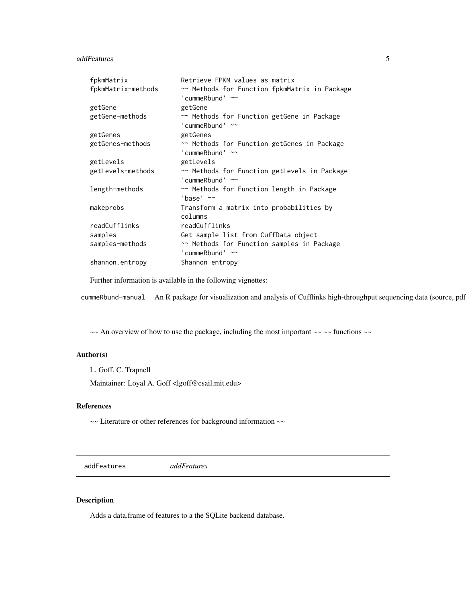#### <span id="page-4-0"></span>addFeatures 5

| fpkmMatrix         | Retrieve FPKM values as matrix                                       |
|--------------------|----------------------------------------------------------------------|
| fpkmMatrix-methods | ~~ Methods for Function fpkmMatrix in Package<br>'cummeRbund' $\sim$ |
| getGene            | getGene                                                              |
| getGene-methods    | ~~ Methods for Function getGene in Package<br>'cummeRbund' $\sim$    |
| getGenes           | getGenes                                                             |
| getGenes-methods   | ~~ Methods for Function getGenes in Package<br>'cummeRbund' $\sim$   |
| getLevels          | getLevels                                                            |
| getLevels-methods  | ~~ Methods for Function getLevels in Package<br>'cummeRbund' $\sim$  |
| length-methods     | ~~ Methods for Function length in Package<br>'base' $\sim$           |
| makeprobs          | Transform a matrix into probabilities by<br>columns                  |
| readCufflinks      | readCufflinks                                                        |
| samples            | Get sample list from CuffData object                                 |
| samples-methods    | ~~ Methods for Function samples in Package<br>'cummeRbund' $\sim$    |
| shannon.entropy    | Shannon entropy                                                      |

Further information is available in the following vignettes:

cummeRbund-manual An R package for visualization and analysis of Cufflinks high-throughput sequencing data (source, pdf)

 $\sim$  An overview of how to use the package, including the most important  $\sim$   $\sim$  functions  $\sim$ 

# Author(s)

L. Goff, C. Trapnell

Maintainer: Loyal A. Goff <lgoff@csail.mit.edu>

# References

~~ Literature or other references for background information ~~

addFeatures *addFeatures*

# Description

Adds a data.frame of features to a the SQLite backend database.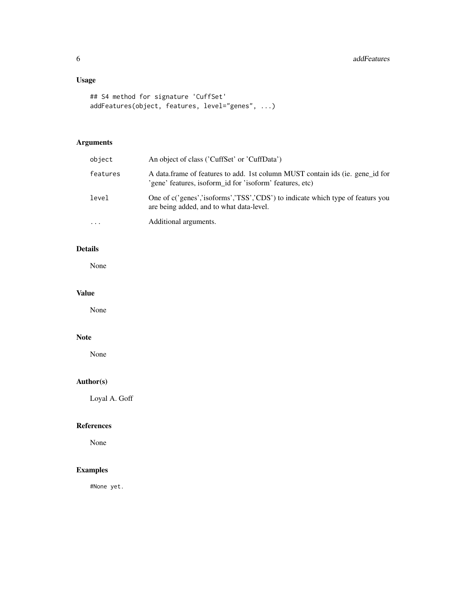# Usage

```
## S4 method for signature 'CuffSet'
addFeatures(object, features, level="genes", ...)
```
# Arguments

| object   | An object of class ('CuffSet' or 'CuffData')                                                                                              |
|----------|-------------------------------------------------------------------------------------------------------------------------------------------|
| features | A data frame of features to add. 1st column MUST contain ids (ie. gene id for<br>'gene' features, isoform_id for 'isoform' features, etc) |
| level    | One of c('genes','isoforms','TSS','CDS') to indicate which type of featurs you<br>are being added, and to what data-level.                |
| .        | Additional arguments.                                                                                                                     |

# Details

None

# Value

None

# Note

None

# Author(s)

Loyal A. Goff

# References

None

# Examples

#None yet.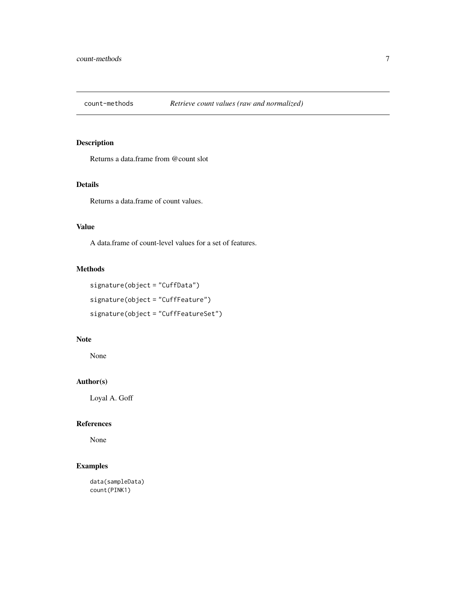<span id="page-6-0"></span>

# Description

Returns a data.frame from @count slot

# Details

Returns a data.frame of count values.

#### Value

A data.frame of count-level values for a set of features.

### Methods

```
signature(object = "CuffData")
signature(object = "CuffFeature")
signature(object = "CuffFeatureSet")
```
# Note

None

# Author(s)

Loyal A. Goff

# References

None

```
data(sampleData)
count(PINK1)
```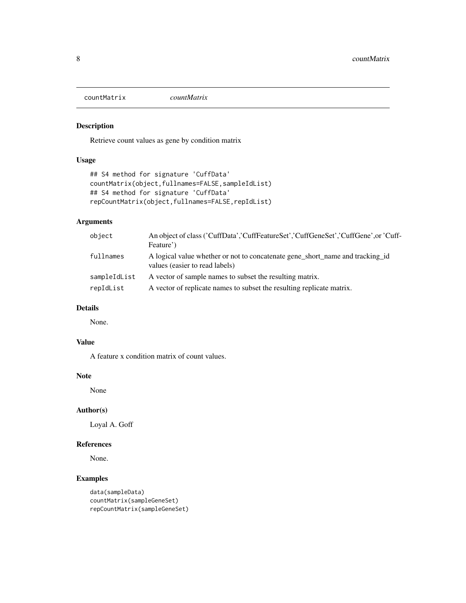<span id="page-7-0"></span>countMatrix *countMatrix*

# Description

Retrieve count values as gene by condition matrix

# Usage

```
## S4 method for signature 'CuffData'
countMatrix(object,fullnames=FALSE,sampleIdList)
## S4 method for signature 'CuffData'
repCountMatrix(object,fullnames=FALSE,repIdList)
```
# Arguments

| object       | An object of class ('CuffData','CuffFeatureSet','CuffGeneSet','CuffGene',or 'Cuff-<br>Feature')                 |
|--------------|-----------------------------------------------------------------------------------------------------------------|
| fullnames    | A logical value whether or not to concatenate gene short name and tracking id<br>values (easier to read labels) |
| sampleIdList | A vector of sample names to subset the resulting matrix.                                                        |
| repIdList    | A vector of replicate names to subset the resulting replicate matrix.                                           |

# Details

None.

# Value

A feature x condition matrix of count values.

# Note

None

# Author(s)

Loyal A. Goff

#### References

None.

```
data(sampleData)
countMatrix(sampleGeneSet)
repCountMatrix(sampleGeneSet)
```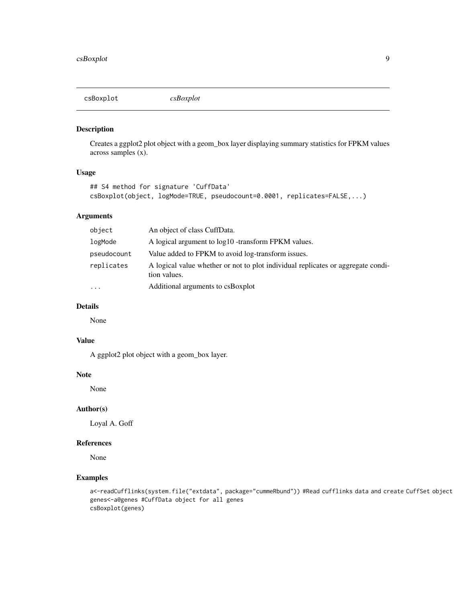<span id="page-8-0"></span>

# Description

Creates a ggplot2 plot object with a geom\_box layer displaying summary statistics for FPKM values across samples (x).

#### Usage

```
## S4 method for signature 'CuffData'
csBoxplot(object, logMode=TRUE, pseudocount=0.0001, replicates=FALSE,...)
```
# Arguments

| object      | An object of class CuffData.                                                                     |
|-------------|--------------------------------------------------------------------------------------------------|
| logMode     | A logical argument to $log10$ -transform FPKM values.                                            |
| pseudocount | Value added to FPKM to avoid log-transform issues.                                               |
| replicates  | A logical value whether or not to plot individual replicates or aggregate condi-<br>tion values. |
| $\cdots$    | Additional arguments to csBoxplot                                                                |

# Details

None

# Value

A ggplot2 plot object with a geom\_box layer.

# Note

None

#### Author(s)

Loyal A. Goff

# References

None

```
a<-readCufflinks(system.file("extdata", package="cummeRbund")) #Read cufflinks data and create CuffSet object
genes<-a@genes #CuffData object for all genes
csBoxplot(genes)
```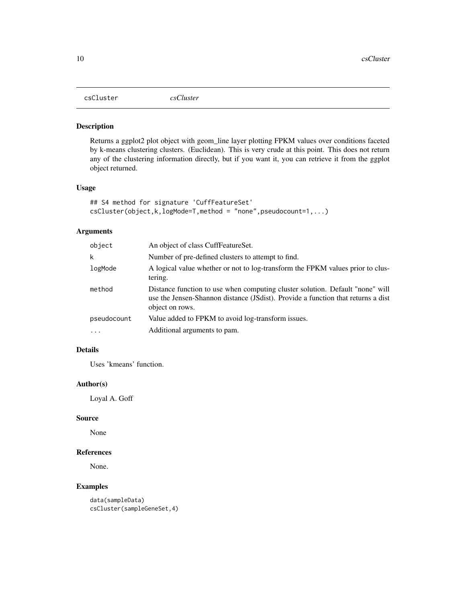<span id="page-9-0"></span>csCluster *csCluster*

#### Description

Returns a ggplot2 plot object with geom\_line layer plotting FPKM values over conditions faceted by k-means clustering clusters. (Euclidean). This is very crude at this point. This does not return any of the clustering information directly, but if you want it, you can retrieve it from the ggplot object returned.

#### Usage

```
## S4 method for signature 'CuffFeatureSet'
csCluster(object,k,logMode=T,method = "none",pseudocount=1,...)
```
# Arguments

| object      | An object of class CuffFeatureSet.                                                                                                                                                   |
|-------------|--------------------------------------------------------------------------------------------------------------------------------------------------------------------------------------|
| k           | Number of pre-defined clusters to attempt to find.                                                                                                                                   |
| logMode     | A logical value whether or not to log-transform the FPKM values prior to clus-<br>tering.                                                                                            |
| method      | Distance function to use when computing cluster solution. Default "none" will<br>use the Jensen-Shannon distance (JSdist). Provide a function that returns a dist<br>object on rows. |
| pseudocount | Value added to FPKM to avoid log-transform issues.                                                                                                                                   |
| $\ddots$ .  | Additional arguments to pam.                                                                                                                                                         |

# Details

Uses 'kmeans' function.

#### Author(s)

Loyal A. Goff

#### Source

None

# References

None.

# Examples

data(sampleData) csCluster(sampleGeneSet,4)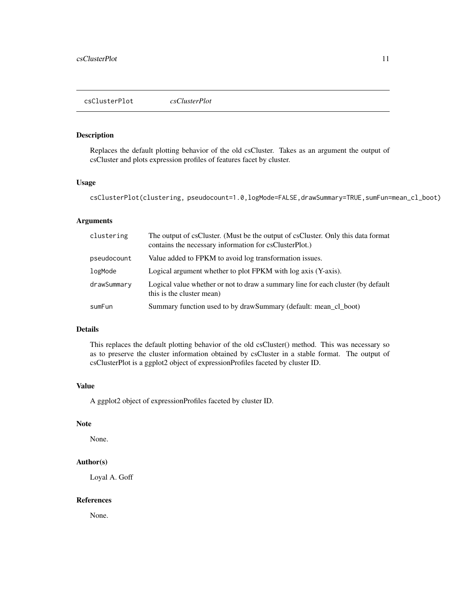#### <span id="page-10-0"></span>Description

Replaces the default plotting behavior of the old csCluster. Takes as an argument the output of csCluster and plots expression profiles of features facet by cluster.

#### Usage

csClusterPlot(clustering, pseudocount=1.0,logMode=FALSE,drawSummary=TRUE,sumFun=mean\_cl\_boot)

#### Arguments

| clustering  | The output of csCluster. (Must be the output of csCluster. Only this data format<br>contains the necessary information for csClusterPlot.) |
|-------------|--------------------------------------------------------------------------------------------------------------------------------------------|
| pseudocount | Value added to FPKM to avoid log transformation issues.                                                                                    |
| logMode     | Logical argument whether to plot FPKM with log axis (Y-axis).                                                                              |
| drawSummary | Logical value whether or not to draw a summary line for each cluster (by default<br>this is the cluster mean)                              |
| sumFun      | Summary function used to by drawSummary (default: mean_cl_boot)                                                                            |

# Details

This replaces the default plotting behavior of the old csCluster() method. This was necessary so as to preserve the cluster information obtained by csCluster in a stable format. The output of csClusterPlot is a ggplot2 object of expressionProfiles faceted by cluster ID.

# Value

A ggplot2 object of expressionProfiles faceted by cluster ID.

# Note

None.

#### Author(s)

Loyal A. Goff

#### References

None.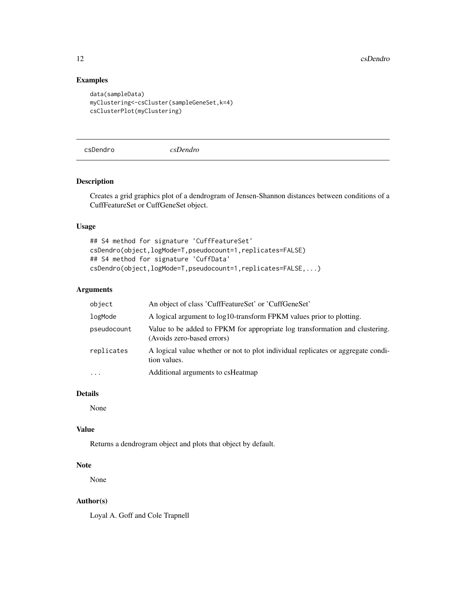12 csDendro control and the control of the control of the control of the control of the control of the control of the control of the control of the control of the control of the control of the control of the control of the

# Examples

```
data(sampleData)
myClustering<-csCluster(sampleGeneSet,k=4)
csClusterPlot(myClustering)
```
csDendro *csDendro*

# Description

Creates a grid graphics plot of a dendrogram of Jensen-Shannon distances between conditions of a CuffFeatureSet or CuffGeneSet object.

# Usage

## S4 method for signature 'CuffFeatureSet' csDendro(object,logMode=T,pseudocount=1,replicates=FALSE) ## S4 method for signature 'CuffData' csDendro(object,logMode=T,pseudocount=1,replicates=FALSE,...)

# Arguments

| object      | An object of class 'CuffFeatureSet' or 'CuffGeneSet'                                                       |
|-------------|------------------------------------------------------------------------------------------------------------|
| logMode     | A logical argument to log10-transform FPKM values prior to plotting.                                       |
| pseudocount | Value to be added to FPKM for appropriate log transformation and clustering.<br>(Avoids zero-based errors) |
| replicates  | A logical value whether or not to plot individual replicates or aggregate condi-<br>tion values.           |
| $\cdots$    | Additional arguments to csHeatmap                                                                          |

# Details

None

# Value

Returns a dendrogram object and plots that object by default.

# Note

None

# Author(s)

Loyal A. Goff and Cole Trapnell

<span id="page-11-0"></span>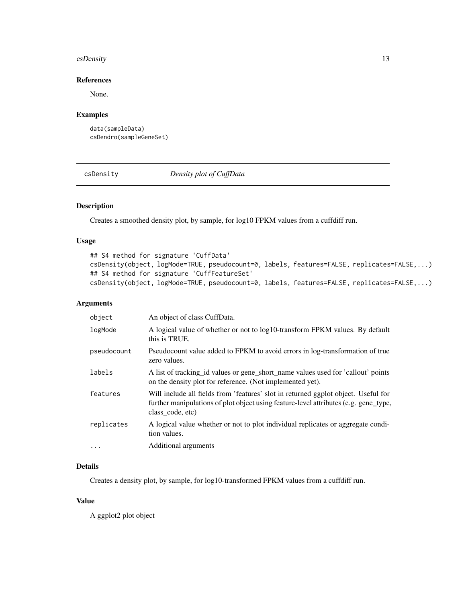#### <span id="page-12-0"></span>csDensity 13

# References

None.

# Examples

data(sampleData) csDendro(sampleGeneSet)

csDensity *Density plot of CuffData*

# Description

Creates a smoothed density plot, by sample, for log10 FPKM values from a cuffdiff run.

#### Usage

```
## S4 method for signature 'CuffData'
csDensity(object, logMode=TRUE, pseudocount=0, labels, features=FALSE, replicates=FALSE,...)
## S4 method for signature 'CuffFeatureSet'
csDensity(object, logMode=TRUE, pseudocount=0, labels, features=FALSE, replicates=FALSE,...)
```
# Arguments

| object      | An object of class CuffData.                                                                                                                                                                   |
|-------------|------------------------------------------------------------------------------------------------------------------------------------------------------------------------------------------------|
| logMode     | A logical value of whether or not to log10-transform FPKM values. By default<br>this is TRUE.                                                                                                  |
| pseudocount | Pseudocount value added to FPKM to avoid errors in log-transformation of true<br>zero values.                                                                                                  |
| labels      | A list of tracking id values or gene short name values used for 'callout' points<br>on the density plot for reference. (Not implemented yet).                                                  |
| features    | Will include all fields from 'features' slot in returned ggplot object. Useful for<br>further manipulations of plot object using feature-level attributes (e.g. gene_type,<br>class code, etc) |
| replicates  | A logical value whether or not to plot individual replicates or aggregate condi-<br>tion values.                                                                                               |
| $\ddotsc$   | Additional arguments                                                                                                                                                                           |

#### Details

Creates a density plot, by sample, for log10-transformed FPKM values from a cuffdiff run.

#### Value

A ggplot2 plot object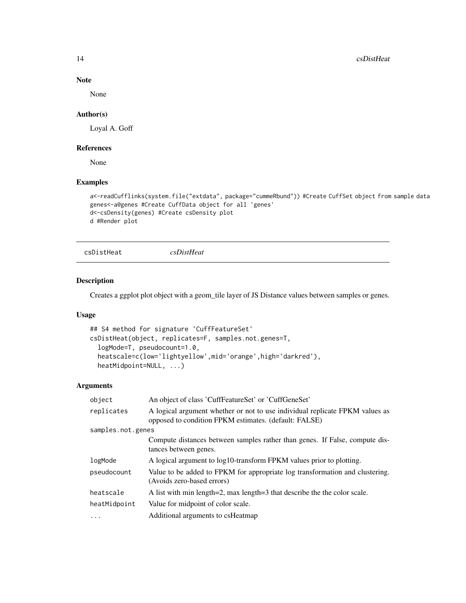14 csDistHeat

# Note

None

# Author(s)

Loyal A. Goff

#### References

None

#### Examples

```
a<-readCufflinks(system.file("extdata", package="cummeRbund")) #Create CuffSet object from sample data
genes<-a@genes #Create CuffData object for all 'genes'
d<-csDensity(genes) #Create csDensity plot
d #Render plot
```

```
csDistHeat csDistHeat
```
# Description

Creates a ggplot plot object with a geom\_tile layer of JS Distance values between samples or genes.

# Usage

```
## S4 method for signature 'CuffFeatureSet'
csDistHeat(object, replicates=F, samples.not.genes=T,
  logMode=T, pseudocount=1.0,
  heatscale=c(low='lightyellow',mid='orange',high='darkred'),
  heatMidpoint=NULL, ...)
```
#### Arguments

| object            | An object of class 'CuffFeatureSet' or 'CuffGeneSet'                                                                                  |
|-------------------|---------------------------------------------------------------------------------------------------------------------------------------|
| replicates        | A logical argument whether or not to use individual replicate FPKM values as<br>opposed to condition FPKM estimates. (default: FALSE) |
| samples.not.genes |                                                                                                                                       |
|                   | Compute distances between samples rather than genes. If False, compute dis-<br>tances between genes.                                  |
| logMode           | A logical argument to log10-transform FPKM values prior to plotting.                                                                  |
| pseudocount       | Value to be added to FPKM for appropriate log transformation and clustering.<br>(Avoids zero-based errors)                            |
| heatscale         | A list with min length=2, max length=3 that describe the the color scale.                                                             |
| heatMidpoint      | Value for midpoint of color scale.                                                                                                    |
| $\cdots$          | Additional arguments to csHeatmap                                                                                                     |

<span id="page-13-0"></span>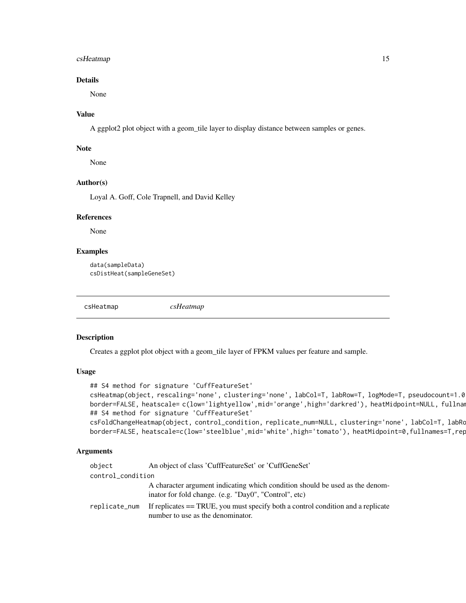# <span id="page-14-0"></span>csHeatmap 15

# Details

None

# Value

A ggplot2 plot object with a geom\_tile layer to display distance between samples or genes.

#### **Note**

None

# Author(s)

Loyal A. Goff, Cole Trapnell, and David Kelley

#### References

None

# Examples

```
data(sampleData)
csDistHeat(sampleGeneSet)
```
csHeatmap *csHeatmap*

#### Description

Creates a ggplot plot object with a geom\_tile layer of FPKM values per feature and sample.

#### Usage

```
## S4 method for signature 'CuffFeatureSet'
csHeatmap(object, rescaling='none', clustering='none', labCol=T, labRow=T, logMode=T, pseudocount=1.0,
border=FALSE, heatscale= c(low='lightyellow',mid='orange',high='darkred'), heatMidpoint=NULL, fullnam
## S4 method for signature 'CuffFeatureSet'
csFoldChangeHeatmap(object, control_condition, replicate_num=NULL, clustering='none', labCol=T, labRo
border=FALSE, heatscale=c(low='steelblue',mid='white',high='tomato'), heatMidpoint=0,fullnames=T,rep
```
#### Arguments

| object            | An object of class 'CuffFeatureSet' or 'CuffGeneSet'                                                                                  |
|-------------------|---------------------------------------------------------------------------------------------------------------------------------------|
| control_condition |                                                                                                                                       |
|                   | A character argument indicating which condition should be used as the denom-<br>inator for fold change. (e.g. "Day0", "Control", etc) |
| replicate_num     | If replicates $==$ TRUE, you must specify both a control condition and a replicate<br>number to use as the denominator.               |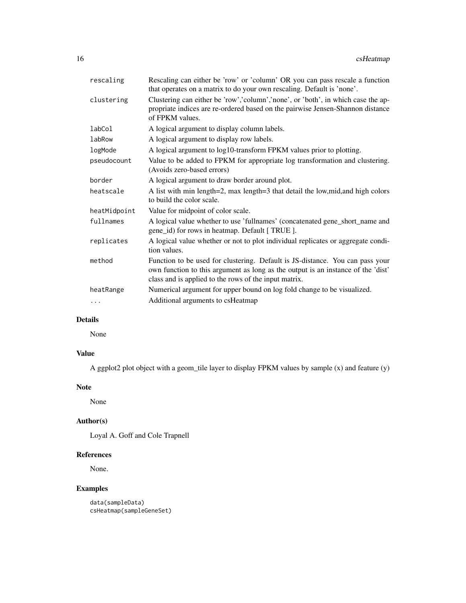| rescaling    | Rescaling can either be 'row' or 'column' OR you can pass rescale a function<br>that operates on a matrix to do your own rescaling. Default is 'none'.                                                                     |
|--------------|----------------------------------------------------------------------------------------------------------------------------------------------------------------------------------------------------------------------------|
| clustering   | Clustering can either be 'row','column','none', or 'both', in which case the ap-<br>propriate indices are re-ordered based on the pairwise Jensen-Shannon distance<br>of FPKM values.                                      |
| labCol       | A logical argument to display column labels.                                                                                                                                                                               |
| labRow       | A logical argument to display row labels.                                                                                                                                                                                  |
| logMode      | A logical argument to log10-transform FPKM values prior to plotting.                                                                                                                                                       |
| pseudocount  | Value to be added to FPKM for appropriate log transformation and clustering.<br>(Avoids zero-based errors)                                                                                                                 |
| border       | A logical argument to draw border around plot.                                                                                                                                                                             |
| heatscale    | A list with min length=2, max length=3 that detail the low, mid, and high colors<br>to build the color scale.                                                                                                              |
| heatMidpoint | Value for midpoint of color scale.                                                                                                                                                                                         |
| fullnames    | A logical value whether to use 'fullnames' (concatenated gene_short_name and<br>gene_id) for rows in heatmap. Default [TRUE].                                                                                              |
| replicates   | A logical value whether or not to plot individual replicates or aggregate condi-<br>tion values.                                                                                                                           |
| method       | Function to be used for clustering. Default is JS-distance. You can pass your<br>own function to this argument as long as the output is an instance of the 'dist'<br>class and is applied to the rows of the input matrix. |
| heatRange    | Numerical argument for upper bound on log fold change to be visualized.                                                                                                                                                    |
| $\cdots$     | Additional arguments to csHeatmap                                                                                                                                                                                          |

# Details

None

# Value

A ggplot2 plot object with a geom\_tile layer to display FPKM values by sample (x) and feature (y)

# Note

None

# Author(s)

Loyal A. Goff and Cole Trapnell

# References

None.

```
data(sampleData)
csHeatmap(sampleGeneSet)
```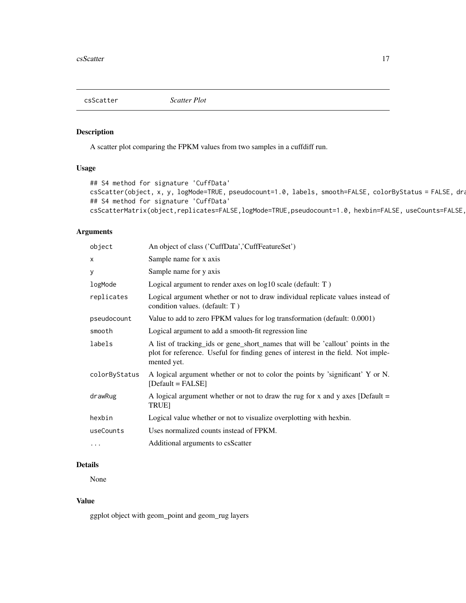<span id="page-16-0"></span>csScatter *Scatter Plot*

# Description

A scatter plot comparing the FPKM values from two samples in a cuffdiff run.

# Usage

```
## S4 method for signature 'CuffData'
csScatter(object, x, y, logMode=TRUE, pseudocount=1.0, labels, smooth=FALSE, colorByStatus = FALSE, dra
## S4 method for signature 'CuffData'
csScatterMatrix(object,replicates=FALSE,logMode=TRUE,pseudocount=1.0, hexbin=FALSE, useCounts=FALSE,
```
# Arguments

| object        | An object of class ('CuffData','CuffFeatureSet')                                                                                                                                    |
|---------------|-------------------------------------------------------------------------------------------------------------------------------------------------------------------------------------|
| x             | Sample name for x axis                                                                                                                                                              |
| у             | Sample name for y axis                                                                                                                                                              |
| logMode       | Logical argument to render axes on log10 scale (default: T)                                                                                                                         |
| replicates    | Logical argument whether or not to draw individual replicate values instead of<br>condition values. (default: T)                                                                    |
| pseudocount   | Value to add to zero FPKM values for log transformation (default: 0.0001)                                                                                                           |
| smooth        | Logical argument to add a smooth-fit regression line                                                                                                                                |
| labels        | A list of tracking ids or gene short names that will be 'callout' points in the<br>plot for reference. Useful for finding genes of interest in the field. Not imple-<br>mented yet. |
| colorByStatus | A logical argument whether or not to color the points by 'significant' Y or N.<br>$[Default = FALSE]$                                                                               |
| drawRug       | A logical argument whether or not to draw the rug for x and y axes [Default $=$<br><b>TRUE1</b>                                                                                     |
| hexbin        | Logical value whether or not to visualize overplotting with hexbin.                                                                                                                 |
| useCounts     | Uses normalized counts instead of FPKM.                                                                                                                                             |
| $\cdots$      | Additional arguments to csScatter                                                                                                                                                   |

# Details

None

# Value

ggplot object with geom\_point and geom\_rug layers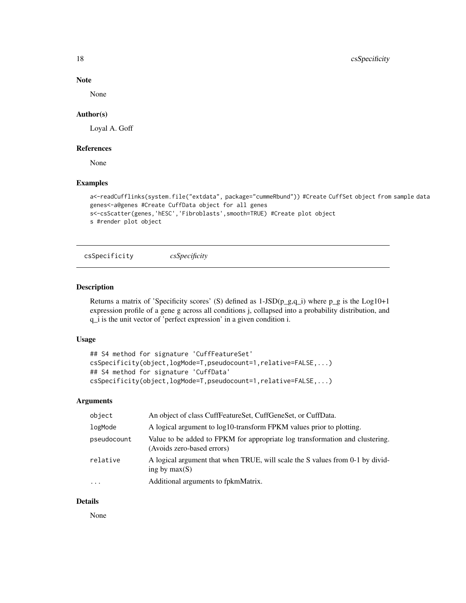<span id="page-17-0"></span>18 csSpecificity

# Note

None

#### Author(s)

Loyal A. Goff

#### References

None

# Examples

```
a<-readCufflinks(system.file("extdata", package="cummeRbund")) #Create CuffSet object from sample data
genes<-a@genes #Create CuffData object for all genes
s<-csScatter(genes,'hESC','Fibroblasts',smooth=TRUE) #Create plot object
s #render plot object
```
csSpecificity *csSpecificity*

#### Description

Returns a matrix of 'Specificity scores' (S) defined as  $1-JSD(p_g,q_i)$  where p\_g is the Log10+1 expression profile of a gene g across all conditions j, collapsed into a probability distribution, and q\_i is the unit vector of 'perfect expression' in a given condition i.

#### Usage

```
## S4 method for signature 'CuffFeatureSet'
csSpecificity(object,logMode=T,pseudocount=1,relative=FALSE,...)
## S4 method for signature 'CuffData'
csSpecificity(object,logMode=T,pseudocount=1,relative=FALSE,...)
```
# Arguments

| object      | An object of class CuffFeatureSet, CuffGeneSet, or CuffData.                                               |
|-------------|------------------------------------------------------------------------------------------------------------|
| logMode     | A logical argument to log10-transform FPKM values prior to plotting.                                       |
| pseudocount | Value to be added to FPKM for appropriate log transformation and clustering.<br>(Avoids zero-based errors) |
| relative    | A logical argument that when TRUE, will scale the S values from 0-1 by divid-<br>ing by $max(S)$           |
| $\cdots$    | Additional arguments to fpkmMatrix.                                                                        |

#### Details

None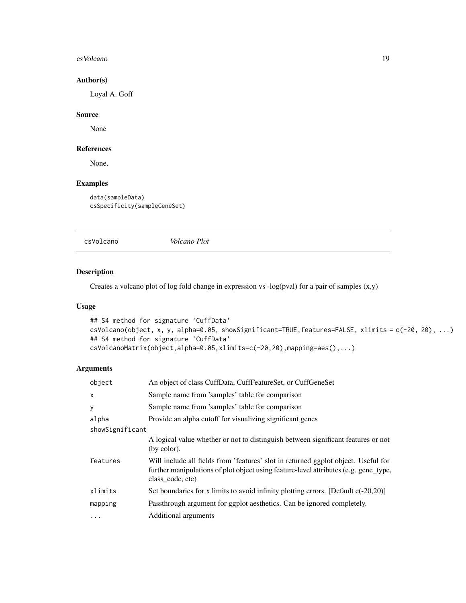#### <span id="page-18-0"></span>cs Volcano and the contract of the contract of the contract of the contract of the contract of the contract of the contract of the contract of the contract of the contract of the contract of the contract of the contract of

# Author(s)

Loyal A. Goff

#### Source

None

# References

None.

# Examples

data(sampleData) csSpecificity(sampleGeneSet)

csVolcano *Volcano Plot*

# Description

Creates a volcano plot of log fold change in expression vs -log(pval) for a pair of samples (x,y)

# Usage

```
## S4 method for signature 'CuffData'
csVolcano(object, x, y, alpha=0.05, showSignificant=TRUE,features=FALSE, xlimits = c(-20, 20), ...)
## S4 method for signature 'CuffData'
csVolcanoMatrix(object,alpha=0.05,xlimits=c(-20,20),mapping=aes(),...)
```
# Arguments

| object          | An object of class CuffData, CuffFeatureSet, or CuffGeneSet                                                                                                                                    |  |
|-----------------|------------------------------------------------------------------------------------------------------------------------------------------------------------------------------------------------|--|
| X               | Sample name from 'samples' table for comparison                                                                                                                                                |  |
| У               | Sample name from 'samples' table for comparison                                                                                                                                                |  |
| alpha           | Provide an alpha cutoff for visualizing significant genes                                                                                                                                      |  |
| showSignificant |                                                                                                                                                                                                |  |
|                 | A logical value whether or not to distinguish between significant features or not<br>(by color).                                                                                               |  |
| features        | Will include all fields from 'features' slot in returned ggplot object. Useful for<br>further manipulations of plot object using feature-level attributes (e.g. gene_type,<br>class_code, etc) |  |
| xlimits         | Set boundaries for x limits to avoid infinity plotting errors. [Default $c(-20,20)$ ]                                                                                                          |  |
| mapping         | Passthrough argument for ggplot aesthetics. Can be ignored completely.                                                                                                                         |  |
| $\cdots$        | Additional arguments                                                                                                                                                                           |  |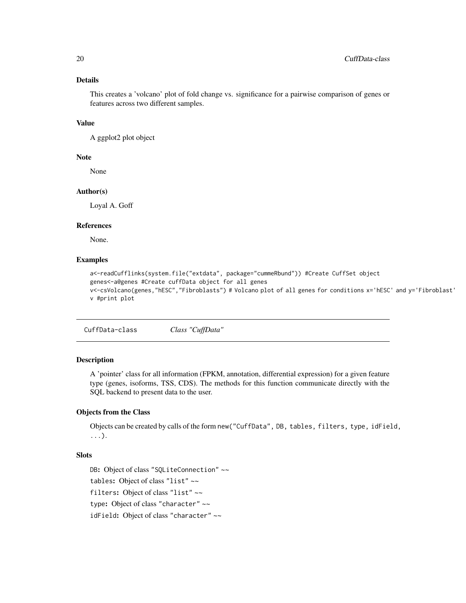# Details

This creates a 'volcano' plot of fold change vs. significance for a pairwise comparison of genes or features across two different samples.

#### Value

A ggplot2 plot object

#### Note

None

#### Author(s)

Loyal A. Goff

# References

None.

# Examples

```
a<-readCufflinks(system.file("extdata", package="cummeRbund")) #Create CuffSet object
genes<-a@genes #Create cuffData object for all genes
v<-csVolcano(genes,"hESC","Fibroblasts") # Volcano plot of all genes for conditions x='hESC' and y='Fibroblast'
v #print plot
```
CuffData-class *Class "CuffData"*

# Description

A 'pointer' class for all information (FPKM, annotation, differential expression) for a given feature type (genes, isoforms, TSS, CDS). The methods for this function communicate directly with the SQL backend to present data to the user.

#### Objects from the Class

Objects can be created by calls of the form new("CuffData", DB, tables, filters, type, idField, ...).

#### Slots

DB: Object of class "SQLiteConnection" ~~ tables: Object of class "list" ~~ filters: Object of class "list" ~~ type: Object of class "character" ~~ idField: Object of class "character" ~~

<span id="page-19-0"></span>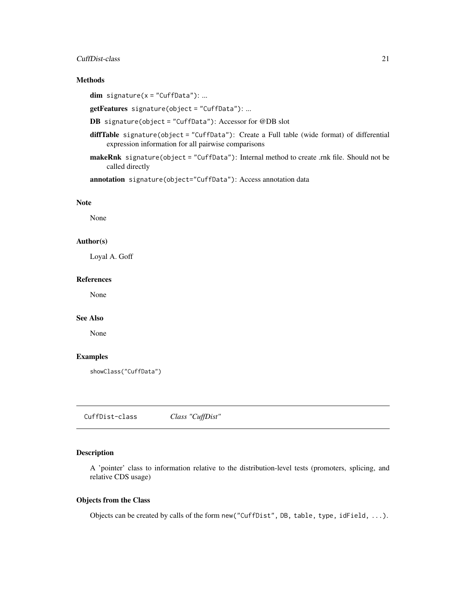#### <span id="page-20-0"></span>CuffDist-class 21

# Methods

 $dim$  signature( $x = "CuffData")$ : ...

getFeatures signature(object = "CuffData"): ...

DB signature(object = "CuffData"): Accessor for @DB slot

- diffTable signature(object = "CuffData"): Create a Full table (wide format) of differential expression information for all pairwise comparisons
- makeRnk signature(object = "CuffData"): Internal method to create .rnk file. Should not be called directly

annotation signature(object="CuffData"): Access annotation data

#### Note

None

#### Author(s)

Loyal A. Goff

#### References

None

# See Also

None

# Examples

showClass("CuffData")

CuffDist-class *Class "CuffDist"*

# Description

A 'pointer' class to information relative to the distribution-level tests (promoters, splicing, and relative CDS usage)

#### Objects from the Class

Objects can be created by calls of the form new("CuffDist", DB, table, type, idField, ...).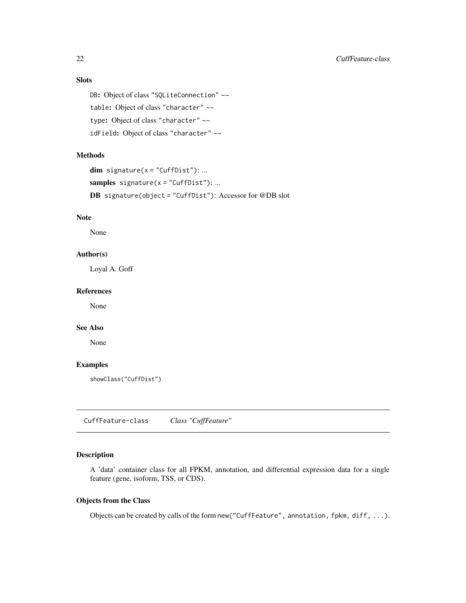# <span id="page-21-0"></span>Slots

```
DB: Object of class "SQLiteConnection" ~~
table: Object of class "character" ~~
type: Object of class "character" ~~
idField: Object of class "character" ~~
```
# Methods

```
dim signature(x = "CuffDist"): ...
samples signature(x = "CuffDist"): ...
DB signature(object = "CuffDist"): Accessor for @DB slot
```
# Note

None

#### Author(s)

Loyal A. Goff

#### References

None

#### See Also

None

# Examples

showClass("CuffDist")

<span id="page-21-1"></span>CuffFeature-class *Class "CuffFeature"*

# Description

A 'data' container class for all FPKM, annotation, and differential expression data for a single feature (gene, isoform, TSS, or CDS).

# Objects from the Class

Objects can be created by calls of the form new("CuffFeature", annotation, fpkm, diff, ...).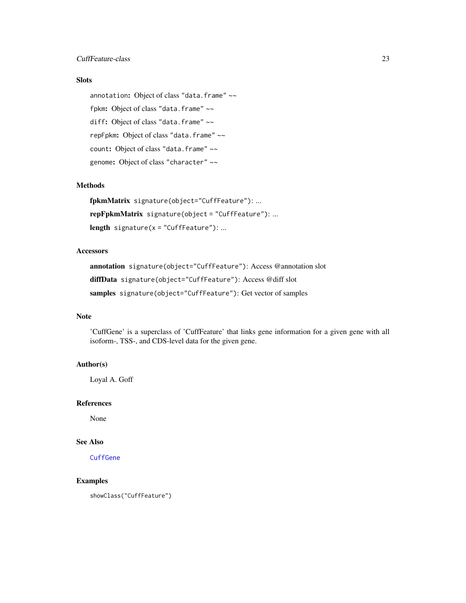# Slots

annotation: Object of class "data.frame" ~~ fpkm: Object of class "data.frame" ~~ diff: Object of class "data.frame" ~~ repFpkm: Object of class "data.frame" ~~ count: Object of class "data.frame" ~~ genome: Object of class "character" ~~

#### Methods

fpkmMatrix signature(object="CuffFeature"): ... repFpkmMatrix signature(object = "CuffFeature"): ... length signature( $x =$  "CuffFeature"): ...

#### **Accessors**

annotation signature(object="CuffFeature"): Access @annotation slot diffData signature(object="CuffFeature"): Access @diff slot samples signature(object="CuffFeature"): Get vector of samples

#### Note

'CuffGene' is a superclass of 'CuffFeature' that links gene information for a given gene with all isoform-, TSS-, and CDS-level data for the given gene.

# Author(s)

Loyal A. Goff

#### References

None

#### See Also

[CuffGene](#page-24-1)

# Examples

showClass("CuffFeature")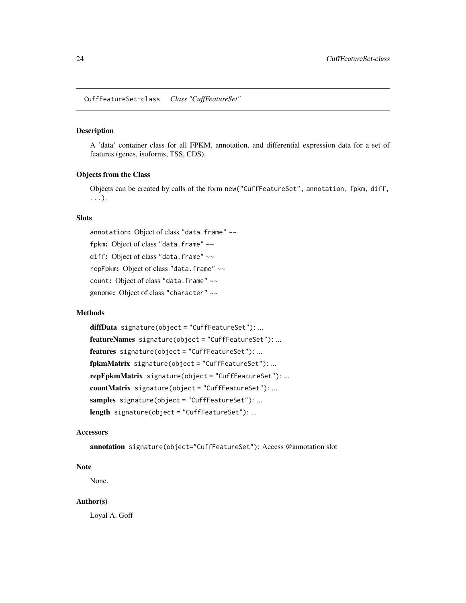<span id="page-23-1"></span><span id="page-23-0"></span>CuffFeatureSet-class *Class "CuffFeatureSet"*

# Description

A 'data' container class for all FPKM, annotation, and differential expression data for a set of features (genes, isoforms, TSS, CDS).

#### Objects from the Class

Objects can be created by calls of the form new("CuffFeatureSet", annotation, fpkm, diff, ...).

# Slots

annotation: Object of class "data.frame" ~~ fpkm: Object of class "data.frame" ~~ diff: Object of class "data.frame" ~~ repFpkm: Object of class "data.frame" ~~ count: Object of class "data.frame" ~~ genome: Object of class "character" ~~

#### Methods

diffData signature(object = "CuffFeatureSet"): ... featureNames signature(object = "CuffFeatureSet"): ... features signature(object = "CuffFeatureSet"): ... fpkmMatrix signature(object = "CuffFeatureSet"): ... repFpkmMatrix signature(object = "CuffFeatureSet"): ... countMatrix signature(object = "CuffFeatureSet"): ... samples signature(object = "CuffFeatureSet"): ... length signature(object = "CuffFeatureSet"): ...

#### **Accessors**

annotation signature(object="CuffFeatureSet"): Access @annotation slot

#### Note

None.

# Author(s)

Loyal A. Goff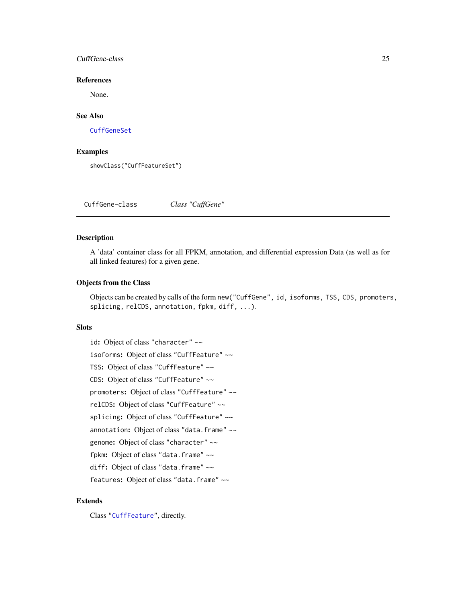### <span id="page-24-0"></span>CuffGene-class 25

#### References

None.

# See Also

[CuffGeneSet](#page-26-1)

# Examples

showClass("CuffFeatureSet")

<span id="page-24-1"></span>CuffGene-class *Class "CuffGene"*

# Description

A 'data' container class for all FPKM, annotation, and differential expression Data (as well as for all linked features) for a given gene.

# Objects from the Class

Objects can be created by calls of the form new("CuffGene", id, isoforms, TSS, CDS, promoters, splicing, relCDS, annotation, fpkm, diff, ...).

#### Slots

id: Object of class "character" ~~ isoforms: Object of class "CuffFeature" ~~ TSS: Object of class "CuffFeature" ~~ CDS: Object of class "CuffFeature" ~~ promoters: Object of class "CuffFeature" ~~ relCDS: Object of class "CuffFeature" ~~ splicing: Object of class "CuffFeature" ~~ annotation: Object of class "data.frame" ~~ genome: Object of class "character" ~~ fpkm: Object of class "data.frame" ~~ diff: Object of class "data.frame" ~~ features: Object of class "data.frame" ~~

# Extends

Class ["CuffFeature"](#page-21-1), directly.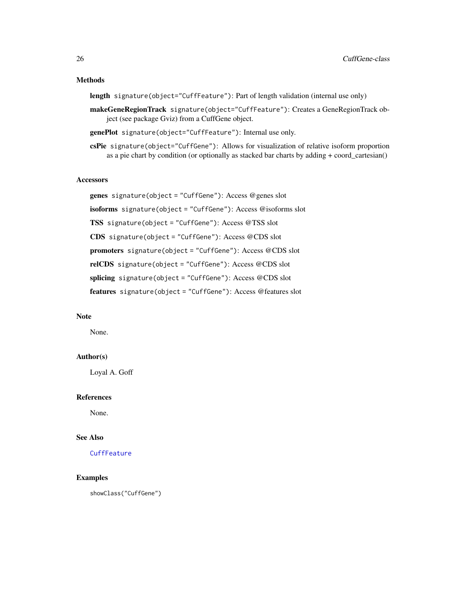# Methods

length signature(object="CuffFeature"): Part of length validation (internal use only)

- makeGeneRegionTrack signature(object="CuffFeature"): Creates a GeneRegionTrack object (see package Gviz) from a CuffGene object.
- genePlot signature(object="CuffFeature"): Internal use only.
- csPie signature(object="CuffGene"): Allows for visualization of relative isoform proportion as a pie chart by condition (or optionally as stacked bar charts by adding + coord\_cartesian()

# **Accessors**

genes signature(object = "CuffGene"): Access @genes slot isoforms signature(object = "CuffGene"): Access @isoforms slot TSS signature(object = "CuffGene"): Access @TSS slot CDS signature(object = "CuffGene"): Access @CDS slot promoters signature(object = "CuffGene"): Access @CDS slot relCDS signature(object = "CuffGene"): Access @CDS slot splicing signature(object = "CuffGene"): Access @CDS slot features signature(object = "CuffGene"): Access @features slot

#### Note

None.

# Author(s)

Loyal A. Goff

# References

None.

#### See Also

# **[CuffFeature](#page-21-1)**

#### Examples

showClass("CuffGene")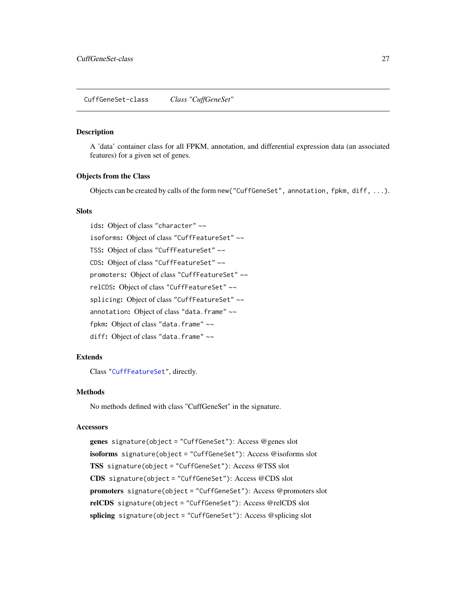#### <span id="page-26-1"></span><span id="page-26-0"></span>Description

A 'data' container class for all FPKM, annotation, and differential expression data (an associated features) for a given set of genes.

#### Objects from the Class

Objects can be created by calls of the form new("CuffGeneSet", annotation, fpkm, diff, ...).

#### **Slots**

ids: Object of class "character" ~~

- isoforms: Object of class "CuffFeatureSet" ~~
- TSS: Object of class "CuffFeatureSet" ~~
- CDS: Object of class "CuffFeatureSet" ~~
- promoters: Object of class "CuffFeatureSet" ~~
- relCDS: Object of class "CuffFeatureSet" ~~
- splicing: Object of class "CuffFeatureSet" ~~
- annotation: Object of class "data.frame" ~~
- fpkm: Object of class "data.frame" ~~
- diff: Object of class "data.frame" ~~

#### Extends

Class ["CuffFeatureSet"](#page-23-1), directly.

#### Methods

No methods defined with class "CuffGeneSet" in the signature.

#### Accessors

genes signature(object = "CuffGeneSet"): Access @genes slot isoforms signature(object = "CuffGeneSet"): Access @isoforms slot TSS signature(object = "CuffGeneSet"): Access @TSS slot CDS signature(object = "CuffGeneSet"): Access @CDS slot promoters signature(object = "CuffGeneSet"): Access @promoters slot relCDS signature(object = "CuffGeneSet"): Access @relCDS slot splicing signature(object = "CuffGeneSet"): Access @splicing slot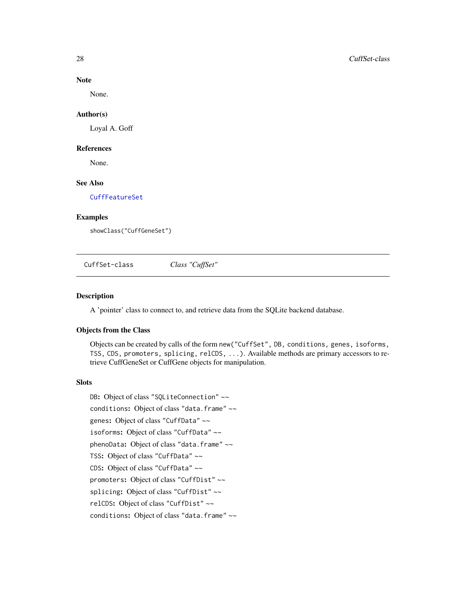#### Note

None.

#### Author(s)

Loyal A. Goff

#### References

None.

#### See Also

[CuffFeatureSet](#page-23-1)

# Examples

showClass("CuffGeneSet")

CuffSet-class *Class "CuffSet"*

#### Description

A 'pointer' class to connect to, and retrieve data from the SQLite backend database.

#### Objects from the Class

Objects can be created by calls of the form new("CuffSet", DB, conditions, genes, isoforms, TSS, CDS, promoters, splicing, relCDS, ...). Available methods are primary accessors to retrieve CuffGeneSet or CuffGene objects for manipulation.

#### **Slots**

DB: Object of class "SQLiteConnection" ~~ conditions: Object of class "data.frame" ~~ genes: Object of class "CuffData" ~~ isoforms: Object of class "CuffData" ~~ phenoData: Object of class "data.frame" ~~ TSS: Object of class "CuffData" ~~ CDS: Object of class "CuffData" ~~ promoters: Object of class "CuffDist" ~~ splicing: Object of class "CuffDist" ~~ relCDS: Object of class "CuffDist" ~~ conditions: Object of class "data.frame" ~~

<span id="page-27-0"></span>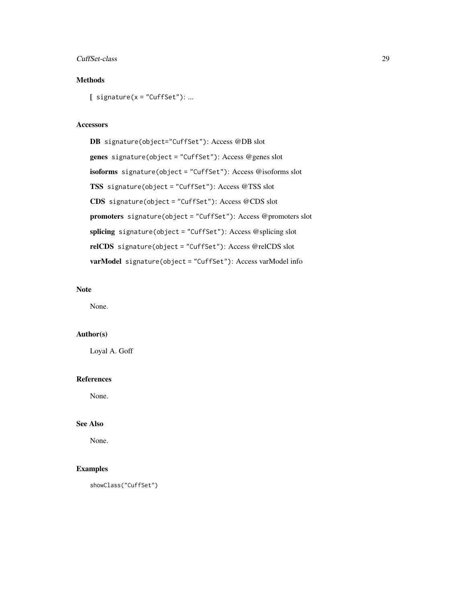#### CuffSet-class 29

# Methods

 $[$  signature(x = "CuffSet"): ...

#### Accessors

DB signature(object="CuffSet"): Access @DB slot genes signature(object = "CuffSet"): Access @genes slot isoforms signature(object = "CuffSet"): Access @isoforms slot TSS signature(object = "CuffSet"): Access @TSS slot CDS signature(object = "CuffSet"): Access @CDS slot promoters signature(object = "CuffSet"): Access @promoters slot splicing signature(object = "CuffSet"): Access @splicing slot relCDS signature(object = "CuffSet"): Access @relCDS slot varModel signature(object = "CuffSet"): Access varModel info

# Note

None.

# Author(s)

Loyal A. Goff

#### References

None.

# See Also

None.

# Examples

showClass("CuffSet")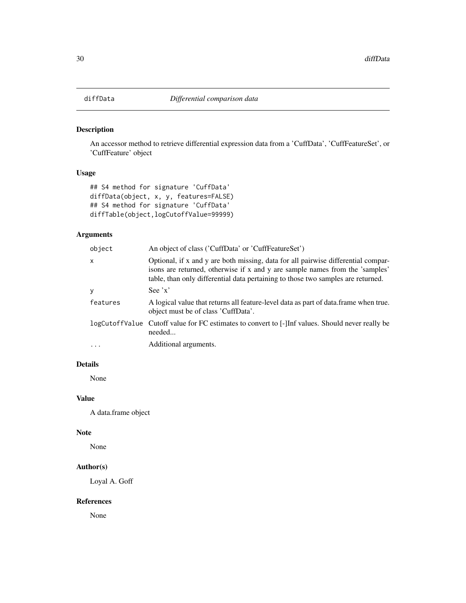<span id="page-29-0"></span>

# Description

An accessor method to retrieve differential expression data from a 'CuffData', 'CuffFeatureSet', or 'CuffFeature' object

# Usage

```
## S4 method for signature 'CuffData'
diffData(object, x, y, features=FALSE)
## S4 method for signature 'CuffData'
diffTable(object,logCutoffValue=99999)
```
# Arguments

| object   | An object of class ('CuffData' or 'CuffFeatureSet')                                                                                                                                                                                                   |
|----------|-------------------------------------------------------------------------------------------------------------------------------------------------------------------------------------------------------------------------------------------------------|
| X        | Optional, if x and y are both missing, data for all pairwise differential compar-<br>isons are returned, otherwise if x and y are sample names from the 'samples'<br>table, than only differential data pertaining to those two samples are returned. |
| y        | See $'x'$                                                                                                                                                                                                                                             |
| features | A logical value that returns all feature-level data as part of data frame when true.<br>object must be of class 'CuffData'.                                                                                                                           |
|          | logCutoffValue Cutoff value for FC estimates to convert to [-] Inf values. Should never really be<br>needed                                                                                                                                           |
| $\cdots$ | Additional arguments.                                                                                                                                                                                                                                 |

# Details

None

# Value

A data.frame object

# Note

None

# Author(s)

Loyal A. Goff

#### References

None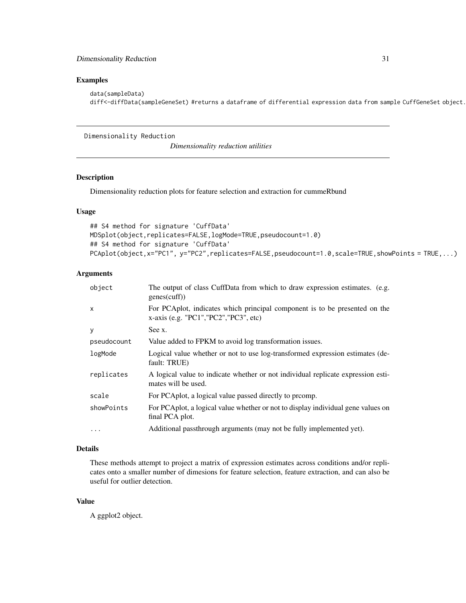#### <span id="page-30-0"></span>Examples

```
data(sampleData)
diff<-diffData(sampleGeneSet) #returns a dataframe of differential expression data from sample CuffGeneSet object.
```
Dimensionality Reduction

*Dimensionality reduction utilities*

# Description

Dimensionality reduction plots for feature selection and extraction for cummeRbund

#### Usage

```
## S4 method for signature 'CuffData'
MDSplot(object,replicates=FALSE,logMode=TRUE,pseudocount=1.0)
## S4 method for signature 'CuffData'
PCAplot(object,x="PC1", y="PC2",replicates=FALSE,pseudocount=1.0,scale=TRUE,showPoints = TRUE,...)
```
#### Arguments

| object       | The output of class CuffData from which to draw expression estimates. (e.g.<br>genes(cuff))                              |
|--------------|--------------------------------------------------------------------------------------------------------------------------|
| $\mathsf{x}$ | For PCA plot, indicates which principal component is to be presented on the<br>$x$ -axis (e.g. "PC1", "PC2", "PC3", etc) |
| У            | See x.                                                                                                                   |
| pseudocount  | Value added to FPKM to avoid log transformation issues.                                                                  |
| logMode      | Logical value whether or not to use log-transformed expression estimates (de-<br>fault: TRUE)                            |
| replicates   | A logical value to indicate whether or not individual replicate expression esti-<br>mates will be used.                  |
| scale        | For PCAplot, a logical value passed directly to promp.                                                                   |
| showPoints   | For PCA plot, a logical value whether or not to display individual gene values on<br>final PCA plot.                     |
| $\cdots$     | Additional passthrough arguments (may not be fully implemented yet).                                                     |

# Details

These methods attempt to project a matrix of expression estimates across conditions and/or replicates onto a smaller number of dimesions for feature selection, feature extraction, and can also be useful for outlier detection.

#### Value

A ggplot2 object.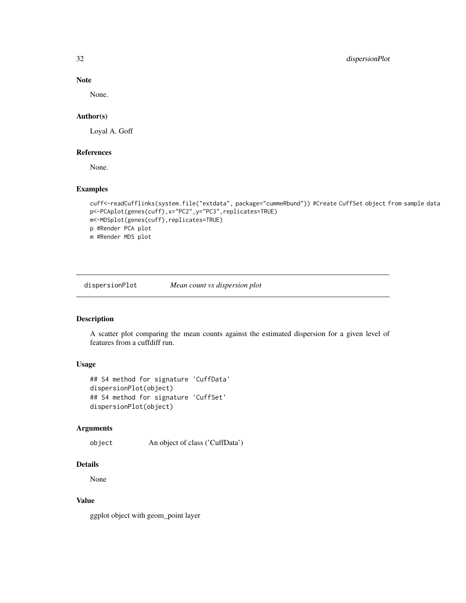<span id="page-31-0"></span>32 dispersionPlot

# Note

None.

#### Author(s)

Loyal A. Goff

#### References

None.

# Examples

```
cuff<-readCufflinks(system.file("extdata", package="cummeRbund")) #Create CuffSet object from sample data
p<-PCAplot(genes(cuff),x="PC2",y="PC3",replicates=TRUE)
m<-MDSplot(genes(cuff),replicates=TRUE)
p #Render PCA plot
m #Render MDS plot
```
dispersionPlot *Mean count vs dispersion plot*

# Description

A scatter plot comparing the mean counts against the estimated dispersion for a given level of features from a cuffdiff run.

# Usage

```
## S4 method for signature 'CuffData'
dispersionPlot(object)
## S4 method for signature 'CuffSet'
dispersionPlot(object)
```
#### Arguments

```
object An object of class ('CuffData')
```
#### Details

None

#### Value

ggplot object with geom\_point layer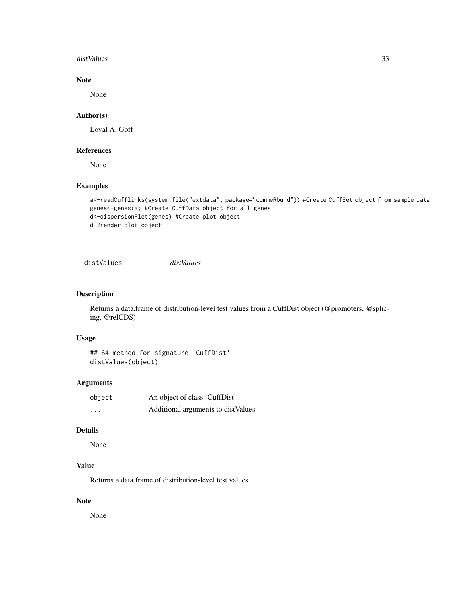#### <span id="page-32-0"></span>distValues 33

# Note

None

# Author(s)

Loyal A. Goff

# References

None

# Examples

```
a<-readCufflinks(system.file("extdata", package="cummeRbund")) #Create CuffSet object from sample data
genes<-genes(a) #Create CuffData object for all genes
d<-dispersionPlot(genes) #Create plot object
d #render plot object
```
distValues *distValues*

#### Description

Returns a data.frame of distribution-level test values from a CuffDist object (@promoters, @splicing, @relCDS)

# Usage

## S4 method for signature 'CuffDist' distValues(object)

# Arguments

| object   | An object of class 'CuffDist'      |
|----------|------------------------------------|
| $\cdots$ | Additional arguments to distValues |

#### Details

None

# Value

Returns a data.frame of distribution-level test values.

# Note

None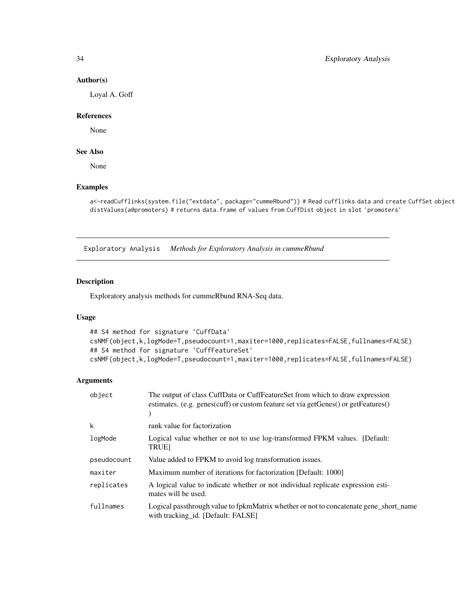#### Author(s)

Loyal A. Goff

#### References

None

# See Also

None

#### Examples

```
a<-readCufflinks(system.file("extdata", package="cummeRbund")) # Read cufflinks data and create CuffSet object
distValues(a@promoters) # returns data.frame of values from CuffDist object in slot 'promoters'
```
Exploratory Analysis *Methods for Exploratory Analysis in cummeRbund*

# Description

Exploratory analysis methods for cummeRbund RNA-Seq data.

#### Usage

```
## S4 method for signature 'CuffData'
csNMF(object,k,logMode=T,pseudocount=1,maxiter=1000,replicates=FALSE,fullnames=FALSE)
## S4 method for signature 'CuffFeatureSet'
csNMF(object,k,logMode=T,pseudocount=1,maxiter=1000,replicates=FALSE,fullnames=FALSE)
```
#### Arguments

| object      | The output of class CuffData or CuffFeatureSet from which to draw expression<br>estimates. (e.g. genes(cuff) or custom feature set via getGenes() or getFeatures() |
|-------------|--------------------------------------------------------------------------------------------------------------------------------------------------------------------|
| k           | rank value for factorization                                                                                                                                       |
| logMode     | Logical value whether or not to use log-transformed FPKM values. [Default:<br><b>TRUE</b>                                                                          |
| pseudocount | Value added to FPKM to avoid log transformation issues.                                                                                                            |
| maxiter     | Maximum number of iterations for factorization [Default: 1000]                                                                                                     |
| replicates  | A logical value to indicate whether or not individual replicate expression esti-<br>mates will be used.                                                            |
| fullnames   | Logical passthrough value to fpkmMatrix whether or not to concatenate gene_short_name<br>with tracking id. [Default: FALSE]                                        |

<span id="page-33-0"></span>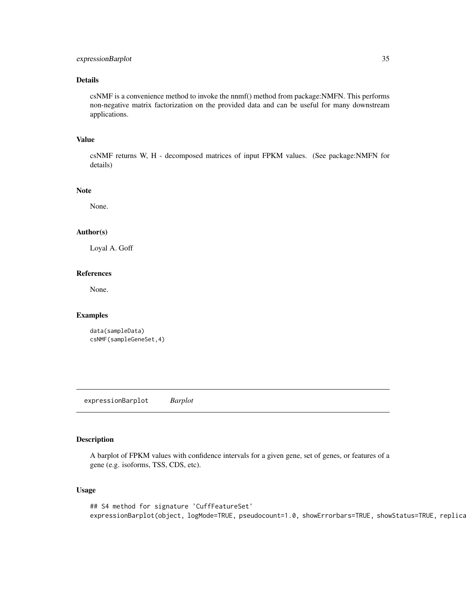# <span id="page-34-0"></span>expressionBarplot 35

#### Details

csNMF is a convenience method to invoke the nnmf() method from package:NMFN. This performs non-negative matrix factorization on the provided data and can be useful for many downstream applications.

# Value

csNMF returns W, H - decomposed matrices of input FPKM values. (See package:NMFN for details)

#### Note

None.

# Author(s)

Loyal A. Goff

# References

None.

#### Examples

```
data(sampleData)
csNMF(sampleGeneSet,4)
```
expressionBarplot *Barplot*

# Description

A barplot of FPKM values with confidence intervals for a given gene, set of genes, or features of a gene (e.g. isoforms, TSS, CDS, etc).

#### Usage

```
## S4 method for signature 'CuffFeatureSet'
expressionBarplot(object, logMode=TRUE, pseudocount=1.0, showErrorbars=TRUE, showStatus=TRUE, replica
```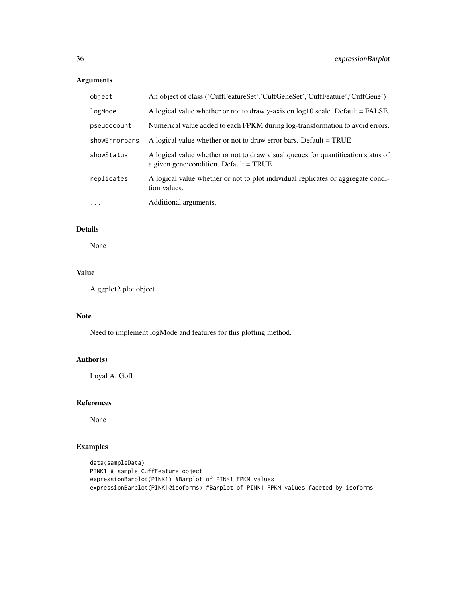# Arguments

| object        | An object of class ('CuffFeatureSet','CuffGeneSet','CuffFeature','CuffGene')                                                 |
|---------------|------------------------------------------------------------------------------------------------------------------------------|
| logMode       | A logical value whether or not to draw y-axis on $log 10$ scale. Default = FALSE.                                            |
| pseudocount   | Numerical value added to each FPKM during log-transformation to avoid errors.                                                |
| showErrorbars | A logical value whether or not to draw error bars. Default = TRUE                                                            |
| showStatus    | A logical value whether or not to draw visual queues for quantification status of<br>a given gene: condition. Default = TRUE |
| replicates    | A logical value whether or not to plot individual replicates or aggregate condi-<br>tion values.                             |
| $\ddots$      | Additional arguments.                                                                                                        |

# Details

None

# Value

A ggplot2 plot object

# Note

Need to implement logMode and features for this plotting method.

# Author(s)

Loyal A. Goff

# References

None

```
data(sampleData)
PINK1 # sample CuffFeature object
expressionBarplot(PINK1) #Barplot of PINK1 FPKM values
expressionBarplot(PINK1@isoforms) #Barplot of PINK1 FPKM values faceted by isoforms
```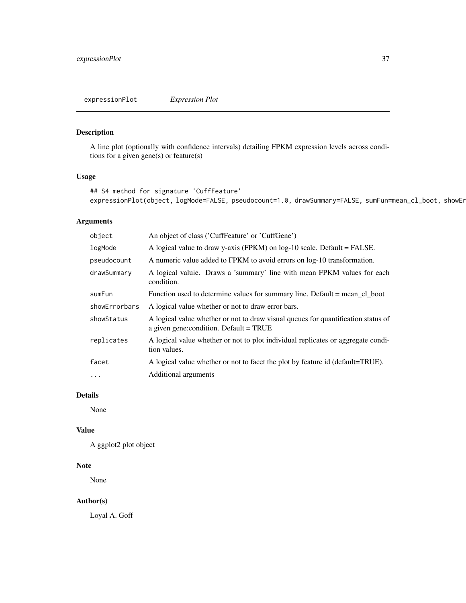<span id="page-36-0"></span>expressionPlot *Expression Plot*

## Description

A line plot (optionally with confidence intervals) detailing FPKM expression levels across conditions for a given gene(s) or feature(s)

## Usage

```
## S4 method for signature 'CuffFeature'
expressionPlot(object, logMode=FALSE, pseudocount=1.0, drawSummary=FALSE, sumFun=mean_cl_boot, showEr
```
## Arguments

| object        | An object of class ('CuffFeature' or 'CuffGene')                                                                               |
|---------------|--------------------------------------------------------------------------------------------------------------------------------|
| logMode       | A logical value to draw y-axis (FPKM) on $log-10$ scale. Default = FALSE.                                                      |
| pseudocount   | A numeric value added to FPKM to avoid errors on log-10 transformation.                                                        |
| drawSummary   | A logical valuie. Draws a 'summary' line with mean FPKM values for each<br>condition.                                          |
| sumFun        | Function used to determine values for summary line. Default = mean_cl_boot                                                     |
| showErrorbars | A logical value whether or not to draw error bars.                                                                             |
| showStatus    | A logical value whether or not to draw visual queues for quantification status of<br>a given gene: condition. Default $=$ TRUE |
| replicates    | A logical value whether or not to plot individual replicates or aggregate condi-<br>tion values.                               |
| facet         | A logical value whether or not to facet the plot by feature id (default=TRUE).                                                 |
| $\ddotsc$     | Additional arguments                                                                                                           |

# Details

None

#### Value

A ggplot2 plot object

# Note

None

# Author(s)

Loyal A. Goff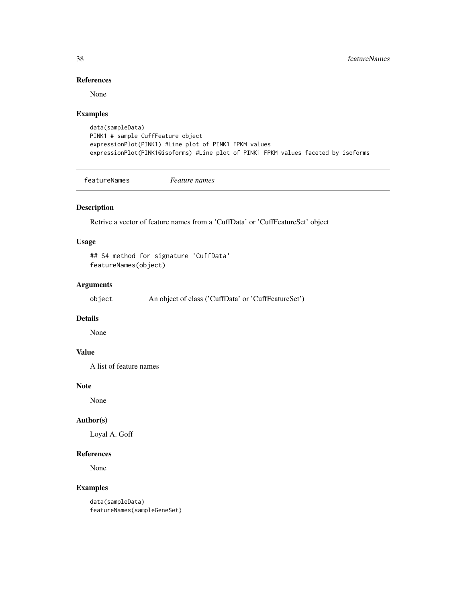## References

None

# Examples

```
data(sampleData)
PINK1 # sample CuffFeature object
expressionPlot(PINK1) #Line plot of PINK1 FPKM values
expressionPlot(PINK1@isoforms) #Line plot of PINK1 FPKM values faceted by isoforms
```
featureNames *Feature names*

## Description

Retrive a vector of feature names from a 'CuffData' or 'CuffFeatureSet' object

#### Usage

## S4 method for signature 'CuffData' featureNames(object)

## Arguments

object An object of class ('CuffData' or 'CuffFeatureSet')

# Details

None

## Value

A list of feature names

#### Note

None

## Author(s)

Loyal A. Goff

#### References

None

#### Examples

data(sampleData) featureNames(sampleGeneSet)

<span id="page-37-0"></span>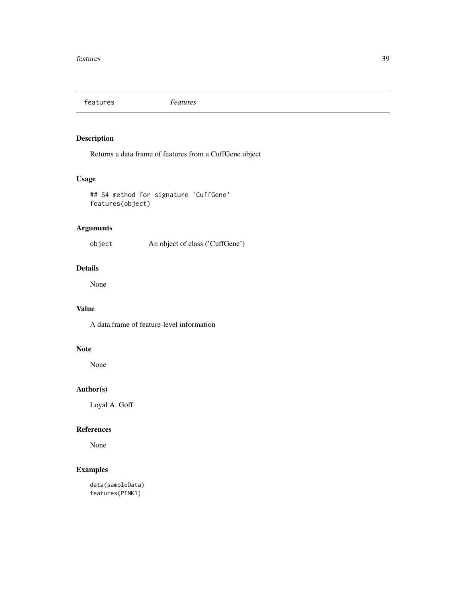<span id="page-38-0"></span>features *Features*

## Description

Returns a data frame of features from a CuffGene object

## Usage

```
## S4 method for signature 'CuffGene'
features(object)
```
## Arguments

object An object of class ('CuffGene')

# Details

None

# Value

A data.frame of feature-level information

## Note

None

# Author(s)

Loyal A. Goff

## References

None

# Examples

data(sampleData) features(PINK1)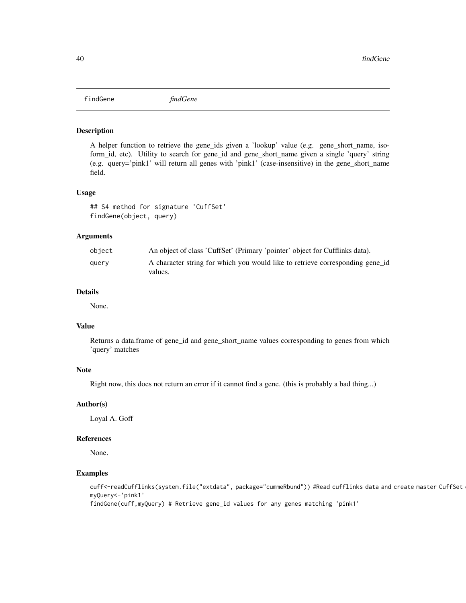<span id="page-39-0"></span>findGene *findGene*

#### Description

A helper function to retrieve the gene\_ids given a 'lookup' value (e.g. gene\_short\_name, isoform\_id, etc). Utility to search for gene\_id and gene\_short\_name given a single 'query' string (e.g. query='pink1' will return all genes with 'pink1' (case-insensitive) in the gene\_short\_name field.

#### Usage

## S4 method for signature 'CuffSet' findGene(object, query)

#### Arguments

| obiect | An object of class 'CuffSet' (Primary 'pointer' object for Cufflinks data).              |
|--------|------------------------------------------------------------------------------------------|
| query  | A character string for which you would like to retrieve corresponding gene id<br>values. |

#### Details

None.

## Value

Returns a data.frame of gene\_id and gene\_short\_name values corresponding to genes from which 'query' matches

#### Note

Right now, this does not return an error if it cannot find a gene. (this is probably a bad thing...)

#### Author(s)

Loyal A. Goff

#### References

None.

#### Examples

cuff<-readCufflinks(system.file("extdata", package="cummeRbund")) #Read cufflinks data and create master CuffSet myQuery<-'pink1'

findGene(cuff,myQuery) # Retrieve gene\_id values for any genes matching 'pink1'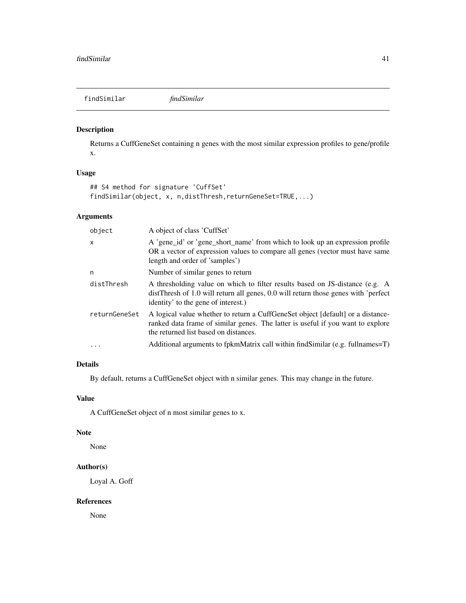<span id="page-40-0"></span>findSimilar *findSimilar*

## Description

Returns a CuffGeneSet containing n genes with the most similar expression profiles to gene/profile x.

#### Usage

```
## S4 method for signature 'CuffSet'
findSimilar(object, x, n,distThresh,returnGeneSet=TRUE,...)
```
## Arguments

| object        | A object of class 'CuffSet'                                                                                                                                                                                 |
|---------------|-------------------------------------------------------------------------------------------------------------------------------------------------------------------------------------------------------------|
| $\mathsf{x}$  | A 'gene_id' or 'gene_short_name' from which to look up an expression profile<br>OR a vector of expression values to compare all genes (vector must have same<br>length and order of 'samples')              |
| n             | Number of similar genes to return                                                                                                                                                                           |
| distThresh    | A thresholding value on which to filter results based on JS-distance (e.g. A<br>distThresh of 1.0 will return all genes, 0.0 will return those genes with 'perfect<br>identity' to the gene of interest.)   |
| returnGeneSet | A logical value whether to return a CuffGeneSet object [default] or a distance-<br>ranked data frame of similar genes. The latter is useful if you want to explore<br>the returned list based on distances. |
| $\ddotsc$     | Additional arguments to fpkmMatrix call within findSimilar (e.g. fullnames=T)                                                                                                                               |
|               |                                                                                                                                                                                                             |

## Details

By default, returns a CuffGeneSet object with n similar genes. This may change in the future.

#### Value

A CuffGeneSet object of n most similar genes to x.

#### Note

None

## Author(s)

Loyal A. Goff

#### References

None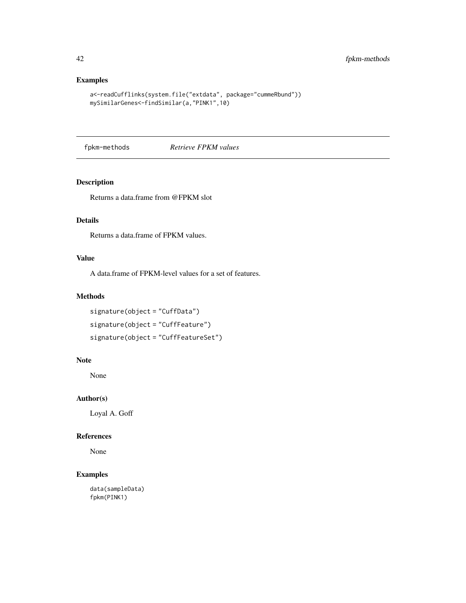## Examples

```
a<-readCufflinks(system.file("extdata", package="cummeRbund"))
mySimilarGenes<-findSimilar(a,"PINK1",10)
```
fpkm-methods *Retrieve FPKM values*

#### Description

Returns a data.frame from @FPKM slot

# Details

Returns a data.frame of FPKM values.

#### Value

A data.frame of FPKM-level values for a set of features.

#### Methods

signature(object = "CuffData") signature(object = "CuffFeature") signature(object = "CuffFeatureSet")

#### Note

None

# Author(s)

Loyal A. Goff

#### References

None

## Examples

data(sampleData) fpkm(PINK1)

<span id="page-41-0"></span>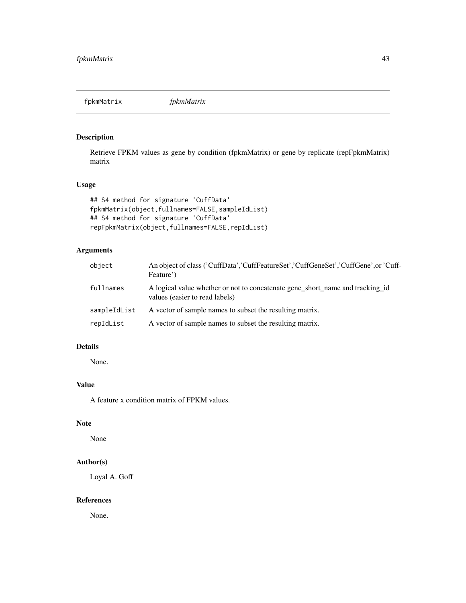<span id="page-42-0"></span>fpkmMatrix *fpkmMatrix*

## Description

Retrieve FPKM values as gene by condition (fpkmMatrix) or gene by replicate (repFpkmMatrix) matrix

# Usage

```
## S4 method for signature 'CuffData'
fpkmMatrix(object,fullnames=FALSE,sampleIdList)
## S4 method for signature 'CuffData'
repFpkmMatrix(object,fullnames=FALSE,repIdList)
```
# Arguments

| object       | An object of class ('CuffData','CuffFeatureSet','CuffGeneSet','CuffGene',or 'Cuff-<br>Feature')                 |
|--------------|-----------------------------------------------------------------------------------------------------------------|
| fullnames    | A logical value whether or not to concatenate gene_short_name and tracking_id<br>values (easier to read labels) |
| sampleIdList | A vector of sample names to subset the resulting matrix.                                                        |
| repIdList    | A vector of sample names to subset the resulting matrix.                                                        |

# Details

None.

# Value

A feature x condition matrix of FPKM values.

# Note

None

# Author(s)

Loyal A. Goff

#### References

None.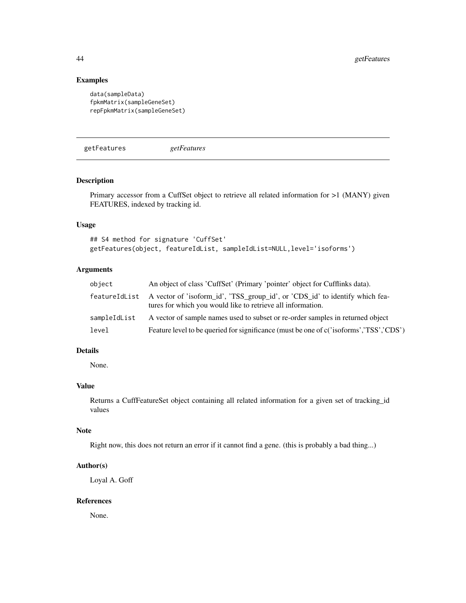#### Examples

```
data(sampleData)
fpkmMatrix(sampleGeneSet)
repFpkmMatrix(sampleGeneSet)
```
getFeatures *getFeatures*

#### Description

Primary accessor from a CuffSet object to retrieve all related information for >1 (MANY) given FEATURES, indexed by tracking id.

#### Usage

```
## S4 method for signature 'CuffSet'
getFeatures(object, featureIdList, sampleIdList=NULL,level='isoforms')
```
## Arguments

| object       | An object of class 'CuffSet' (Primary 'pointer' object for Cufflinks data).                                                                               |
|--------------|-----------------------------------------------------------------------------------------------------------------------------------------------------------|
|              | featureIdList A vector of 'isoform_id', 'TSS_group_id', or 'CDS_id' to identify which fea-<br>tures for which you would like to retrieve all information. |
| sampleIdList | A vector of sample names used to subset or re-order samples in returned object                                                                            |
| level        | Feature level to be queried for significance (must be one of c('isoforms','TSS','CDS')                                                                    |

#### Details

None.

#### Value

Returns a CuffFeatureSet object containing all related information for a given set of tracking\_id values

#### Note

Right now, this does not return an error if it cannot find a gene. (this is probably a bad thing...)

#### Author(s)

Loyal A. Goff

#### References

None.

<span id="page-43-0"></span>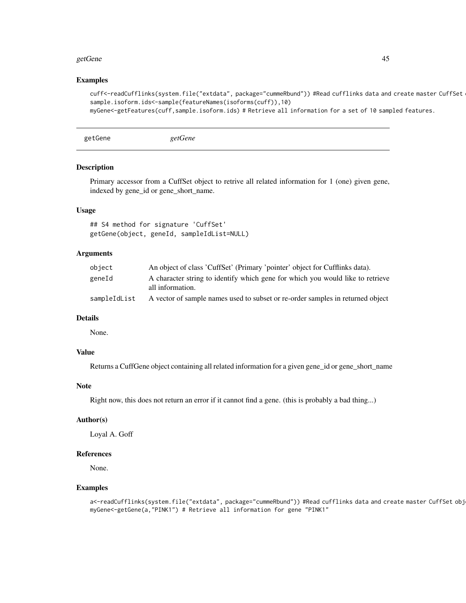#### <span id="page-44-0"></span>getGene and the set of the set of the set of the set of the set of the set of the set of the set of the set of the set of the set of the set of the set of the set of the set of the set of the set of the set of the set of t

#### Examples

```
cuff<-readCufflinks(system.file("extdata", package="cummeRbund")) #Read cufflinks data and create master CuffSet
sample.isoform.ids<-sample(featureNames(isoforms(cuff)),10)
myGene<-getFeatures(cuff,sample.isoform.ids) # Retrieve all information for a set of 10 sampled features.
```
getGene *getGene*

## Description

Primary accessor from a CuffSet object to retrive all related information for 1 (one) given gene, indexed by gene\_id or gene\_short\_name.

#### Usage

## S4 method for signature 'CuffSet' getGene(object, geneId, sampleIdList=NULL)

#### Arguments

| object       | An object of class 'CuffSet' (Primary 'pointer' object for Cufflinks data).                        |
|--------------|----------------------------------------------------------------------------------------------------|
| geneId       | A character string to identify which gene for which you would like to retrieve<br>all information. |
| sampleIdList | A vector of sample names used to subset or re-order samples in returned object                     |

## Details

None.

# Value

Returns a CuffGene object containing all related information for a given gene\_id or gene\_short\_name

#### Note

Right now, this does not return an error if it cannot find a gene. (this is probably a bad thing...)

#### Author(s)

Loyal A. Goff

#### References

None.

#### Examples

a<-readCufflinks(system.file("extdata", package="cummeRbund")) #Read cufflinks data and create master CuffSet obj myGene<-getGene(a,"PINK1") # Retrieve all information for gene "PINK1"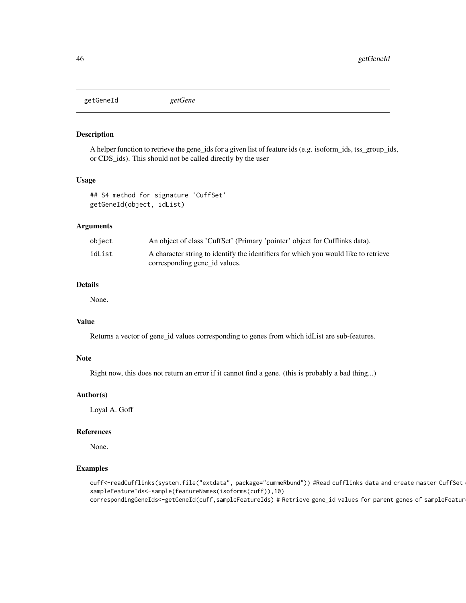<span id="page-45-0"></span>getGeneId *getGene*

#### Description

A helper function to retrieve the gene\_ids for a given list of feature ids (e.g. isoform\_ids, tss\_group\_ids, or CDS\_ids). This should not be called directly by the user

#### Usage

```
## S4 method for signature 'CuffSet'
getGeneId(object, idList)
```
## Arguments

| object | An object of class 'CuffSet' (Primary 'pointer' object for Cufflinks data).                                          |
|--------|----------------------------------------------------------------------------------------------------------------------|
| idList | A character string to identify the identifiers for which you would like to retrieve<br>corresponding gene id values. |

#### Details

None.

#### Value

Returns a vector of gene\_id values corresponding to genes from which idList are sub-features.

#### Note

Right now, this does not return an error if it cannot find a gene. (this is probably a bad thing...)

#### Author(s)

Loyal A. Goff

#### References

None.

# Examples

cuff<-readCufflinks(system.file("extdata", package="cummeRbund")) #Read cufflinks data and create master CuffSet sampleFeatureIds<-sample(featureNames(isoforms(cuff)),10) correspondingGeneIds<-getGeneId(cuff,sampleFeatureIds) # Retrieve gene\_id values for parent genes of sampleFeatur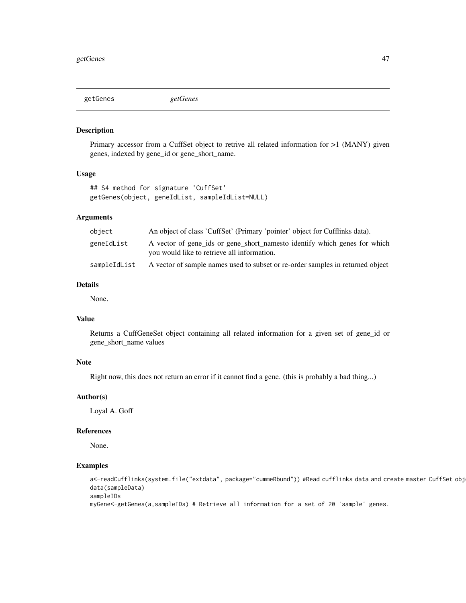<span id="page-46-0"></span>getGenes *getGenes*

#### Description

Primary accessor from a CuffSet object to retrive all related information for >1 (MANY) given genes, indexed by gene\_id or gene\_short\_name.

#### Usage

```
## S4 method for signature 'CuffSet'
getGenes(object, geneIdList, sampleIdList=NULL)
```
## Arguments

| obiect       | An object of class 'CuffSet' (Primary 'pointer' object for Cufflinks data).                                              |
|--------------|--------------------------------------------------------------------------------------------------------------------------|
| geneIdList   | A vector of gene_ids or gene_short_namesto identify which genes for which<br>you would like to retrieve all information. |
| sampleIdList | A vector of sample names used to subset or re-order samples in returned object                                           |

#### Details

None.

# Value

Returns a CuffGeneSet object containing all related information for a given set of gene\_id or gene\_short\_name values

## Note

Right now, this does not return an error if it cannot find a gene. (this is probably a bad thing...)

#### Author(s)

Loyal A. Goff

#### References

None.

#### Examples

```
a<-readCufflinks(system.file("extdata", package="cummeRbund")) #Read cufflinks data and create master CuffSet obj
data(sampleData)
sampleIDs
```
myGene<-getGenes(a,sampleIDs) # Retrieve all information for a set of 20 'sample' genes.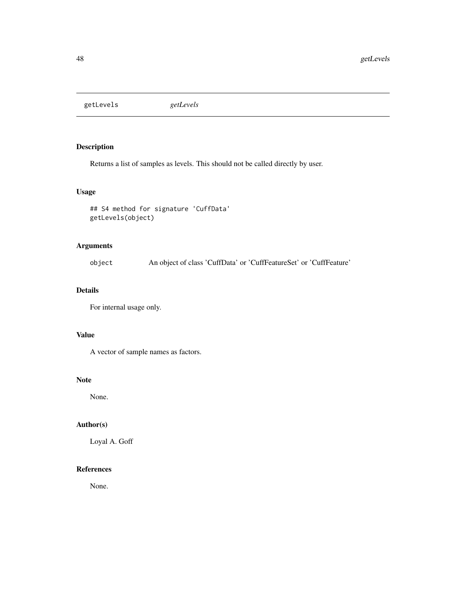<span id="page-47-0"></span>getLevels *getLevels*

## Description

Returns a list of samples as levels. This should not be called directly by user.

## Usage

```
## S4 method for signature 'CuffData'
getLevels(object)
```
## Arguments

object An object of class 'CuffData' or 'CuffFeatureSet' or 'CuffFeature'

## Details

For internal usage only.

# Value

A vector of sample names as factors.

#### Note

None.

# Author(s)

Loyal A. Goff

# References

None.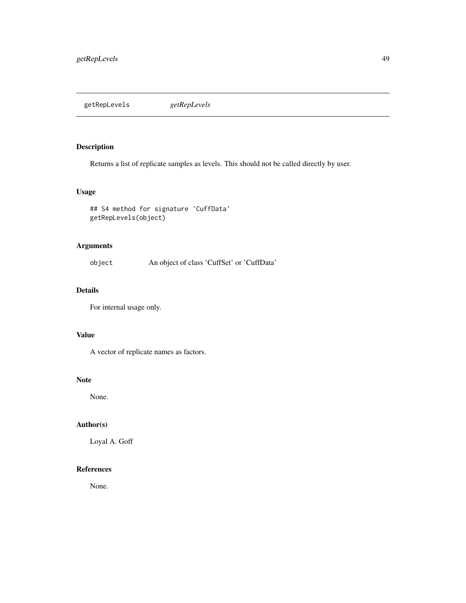<span id="page-48-0"></span>getRepLevels *getRepLevels*

# Description

Returns a list of replicate samples as levels. This should not be called directly by user.

## Usage

## S4 method for signature 'CuffData' getRepLevels(object)

## Arguments

object An object of class 'CuffSet' or 'CuffData'

# Details

For internal usage only.

# Value

A vector of replicate names as factors.

#### Note

None.

# Author(s)

Loyal A. Goff

# References

None.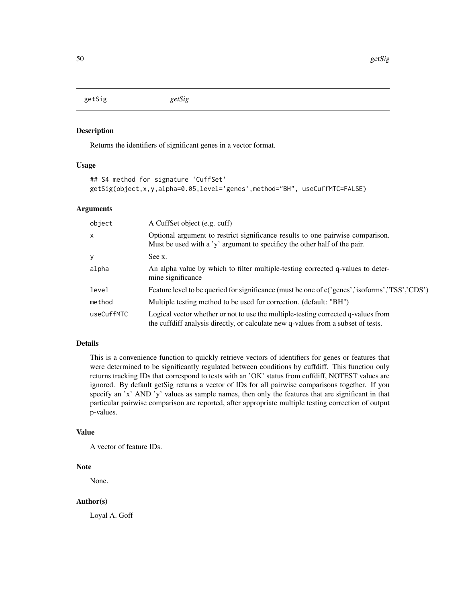<span id="page-49-0"></span>getSig *getSig*

#### Description

Returns the identifiers of significant genes in a vector format.

#### Usage

```
## S4 method for signature 'CuffSet'
getSig(object,x,y,alpha=0.05,level='genes',method="BH", useCuffMTC=FALSE)
```
#### Arguments

| object       | A CuffSet object (e.g. cuff)                                                                                                                                           |
|--------------|------------------------------------------------------------------------------------------------------------------------------------------------------------------------|
| $\mathsf{x}$ | Optional argument to restrict significance results to one pairwise comparison.<br>Must be used with a 'y' argument to specificy the other half of the pair.            |
| У            | See x.                                                                                                                                                                 |
| alpha        | An alpha value by which to filter multiple-testing corrected q-values to deter-<br>mine significance                                                                   |
| level        | Feature level to be queried for significance (must be one of c('genes','isoforms','TSS','CDS')                                                                         |
| method       | Multiple testing method to be used for correction. (default: "BH")                                                                                                     |
| useCuffMTC   | Logical vector whether or not to use the multiple-testing corrected q-values from<br>the cuffdiff analysis directly, or calculate new q-values from a subset of tests. |

## Details

This is a convenience function to quickly retrieve vectors of identifiers for genes or features that were determined to be significantly regulated between conditions by cuffdiff. This function only returns tracking IDs that correspond to tests with an 'OK' status from cuffdiff, NOTEST values are ignored. By default getSig returns a vector of IDs for all pairwise comparisons together. If you specify an 'x' AND 'y' values as sample names, then only the features that are significant in that particular pairwise comparison are reported, after appropriate multiple testing correction of output p-values.

#### Value

A vector of feature IDs.

# Note

None.

#### Author(s)

Loyal A. Goff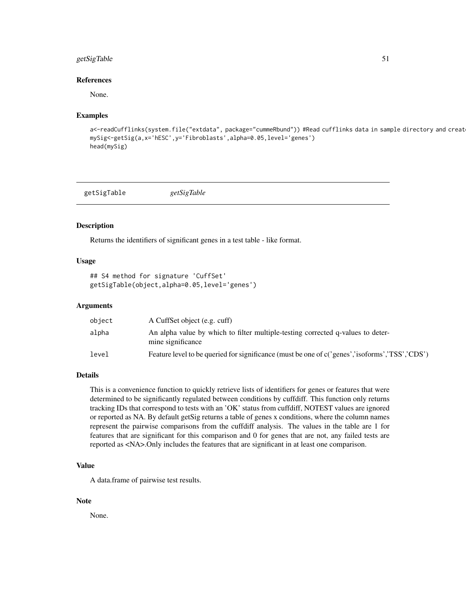## <span id="page-50-0"></span>getSigTable 51

#### References

None.

#### Examples

```
a<-readCufflinks(system.file("extdata", package="cummeRbund")) #Read cufflinks data in sample directory and creat
mySig<-getSig(a,x='hESC',y='Fibroblasts',alpha=0.05,level='genes')
head(mySig)
```
getSigTable *getSigTable*

## Description

Returns the identifiers of significant genes in a test table - like format.

#### Usage

```
## S4 method for signature 'CuffSet'
getSigTable(object,alpha=0.05,level='genes')
```
## Arguments

| object | A CuffSet object (e.g. cuff)                                                                         |
|--------|------------------------------------------------------------------------------------------------------|
| alpha  | An alpha value by which to filter multiple-testing corrected q-values to deter-<br>mine significance |
| level  | Feature level to be queried for significance (must be one of c('genes','isoforms','TSS','CDS')       |

#### Details

This is a convenience function to quickly retrieve lists of identifiers for genes or features that were determined to be significantly regulated between conditions by cuffdiff. This function only returns tracking IDs that correspond to tests with an 'OK' status from cuffdiff, NOTEST values are ignored or reported as NA. By default getSig returns a table of genes x conditions, where the column names represent the pairwise comparisons from the cuffdiff analysis. The values in the table are 1 for features that are significant for this comparison and 0 for genes that are not, any failed tests are reported as <NA>.Only includes the features that are significant in at least one comparison.

#### Value

A data.frame of pairwise test results.

#### Note

None.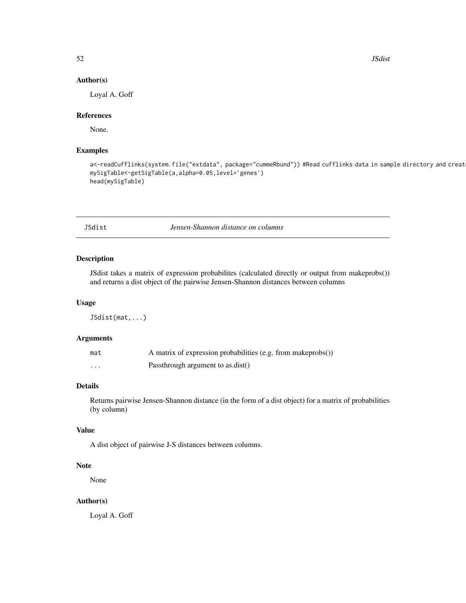52 JSdist

#### Author(s)

Loyal A. Goff

#### References

None.

## Examples

```
a<-readCufflinks(system.file("extdata", package="cummeRbund")) #Read cufflinks data in sample directory and creat
mySigTable<-getSigTable(a,alpha=0.05,level='genes')
head(mySigTable)
```
JSdist *Jensen-Shannon distance on columns*

#### Description

JSdist takes a matrix of expression probabilites (calculated directly or output from makeprobs()) and returns a dist object of the pairwise Jensen-Shannon distances between columns

#### Usage

JSdist(mat,...)

## Arguments

| mat | A matrix of expression probabilities (e.g. from makeprobs()) |
|-----|--------------------------------------------------------------|
| .   | Passthrough argument to as.dist()                            |

#### Details

Returns pairwise Jensen-Shannon distance (in the form of a dist object) for a matrix of probabilities (by column)

#### Value

A dist object of pairwise J-S distances between columns.

## Note

None

#### Author(s)

Loyal A. Goff

<span id="page-51-0"></span>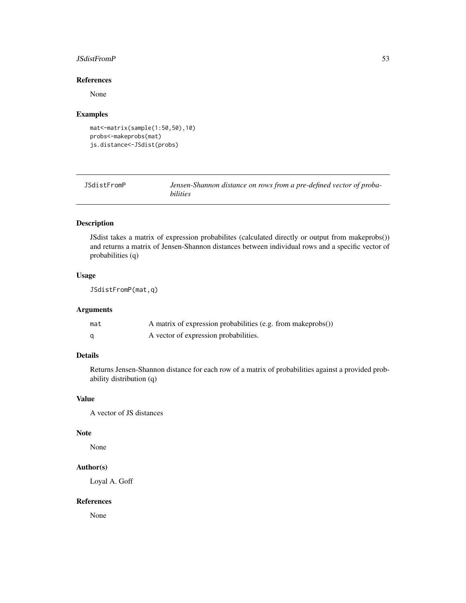#### <span id="page-52-0"></span>JSdistFromP 53

#### References

None

#### Examples

```
mat<-matrix(sample(1:50,50),10)
probs<-makeprobs(mat)
js.distance<-JSdist(probs)
```
JSdistFromP *Jensen-Shannon distance on rows from a pre-defined vector of probabilities*

# Description

JSdist takes a matrix of expression probabilites (calculated directly or output from makeprobs()) and returns a matrix of Jensen-Shannon distances between individual rows and a specific vector of probabilities (q)

## Usage

JSdistFromP(mat,q)

## Arguments

| mat | A matrix of expression probabilities (e.g. from makeprobs()) |
|-----|--------------------------------------------------------------|
|     | A vector of expression probabilities.                        |

# Details

Returns Jensen-Shannon distance for each row of a matrix of probabilities against a provided probability distribution (q)

#### Value

A vector of JS distances

#### Note

None

## Author(s)

Loyal A. Goff

#### References

None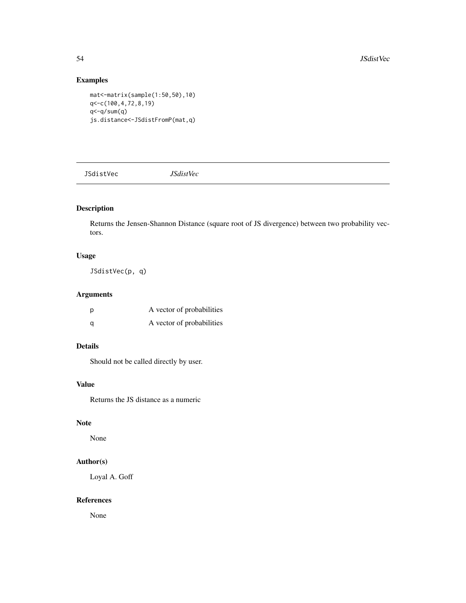# Examples

mat<-matrix(sample(1:50,50),10) q<-c(100,4,72,8,19) q<-q/sum(q) js.distance<-JSdistFromP(mat,q)

JSdistVec *JSdistVec*

# Description

Returns the Jensen-Shannon Distance (square root of JS divergence) between two probability vectors.

## Usage

JSdistVec(p, q)

## Arguments

| p | A vector of probabilities |
|---|---------------------------|
| a | A vector of probabilities |

#### Details

Should not be called directly by user.

#### Value

Returns the JS distance as a numeric

# Note

None

#### Author(s)

Loyal A. Goff

#### References

None

<span id="page-53-0"></span>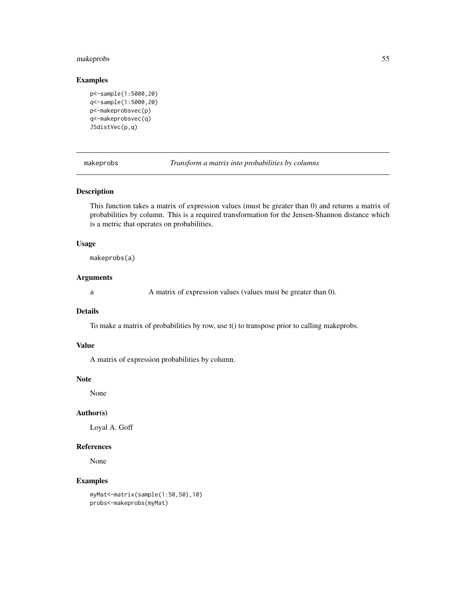## <span id="page-54-0"></span>makeprobs 55

## Examples

```
p<-sample(1:5000,20)
q<-sample(1:5000,20)
p<-makeprobsvec(p)
q<-makeprobsvec(q)
JSdistVec(p,q)
```
makeprobs *Transform a matrix into probabilities by columns*

#### Description

This function takes a matrix of expression values (must be greater than 0) and returns a matrix of probabilities by column. This is a required transformation for the Jensen-Shannon distance which is a metric that operates on probabilities.

#### Usage

makeprobs(a)

#### Arguments

a A matrix of expression values (values must be greater than 0).

#### Details

To make a matrix of probabilities by row, use t() to transpose prior to calling makeprobs.

## Value

A matrix of expression probabilities by column.

#### Note

None

#### Author(s)

Loyal A. Goff

# References

None

#### Examples

```
myMat<-matrix(sample(1:50,50),10)
probs<-makeprobs(myMat)
```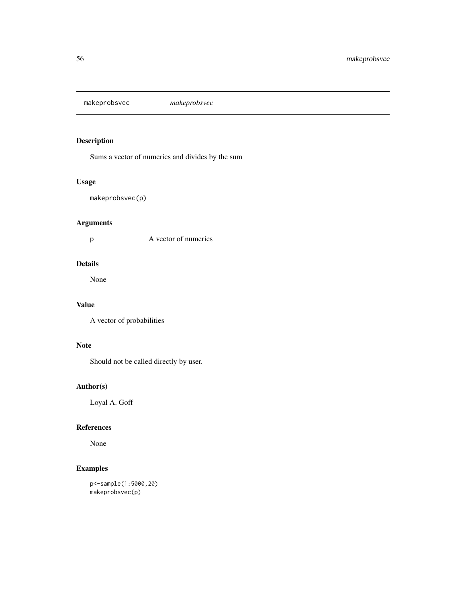<span id="page-55-0"></span>makeprobsvec *makeprobsvec*

# Description

Sums a vector of numerics and divides by the sum

# Usage

```
makeprobsvec(p)
```
# Arguments

p A vector of numerics

# Details

None

# Value

A vector of probabilities

## Note

Should not be called directly by user.

# Author(s)

Loyal A. Goff

# References

None

## Examples

```
p<-sample(1:5000,20)
makeprobsvec(p)
```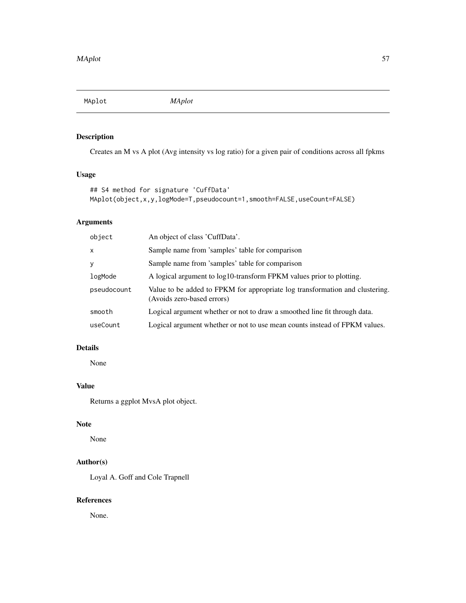<span id="page-56-0"></span>MAplot *MAplot*

# Description

Creates an M vs A plot (Avg intensity vs log ratio) for a given pair of conditions across all fpkms

# Usage

```
## S4 method for signature 'CuffData'
MAplot(object,x,y,logMode=T,pseudocount=1,smooth=FALSE,useCount=FALSE)
```
# Arguments

| object      | An object of class 'CuffData'.                                                                             |
|-------------|------------------------------------------------------------------------------------------------------------|
| X           | Sample name from 'samples' table for comparison                                                            |
| У           | Sample name from 'samples' table for comparison                                                            |
| logMode     | A logical argument to log10-transform FPKM values prior to plotting.                                       |
| pseudocount | Value to be added to FPKM for appropriate log transformation and clustering.<br>(Avoids zero-based errors) |
| smooth      | Logical argument whether or not to draw a smoothed line fit through data.                                  |
| useCount    | Logical argument whether or not to use mean counts instead of FPKM values.                                 |

# Details

None

## Value

Returns a ggplot MvsA plot object.

# Note

None

# Author(s)

Loyal A. Goff and Cole Trapnell

# References

None.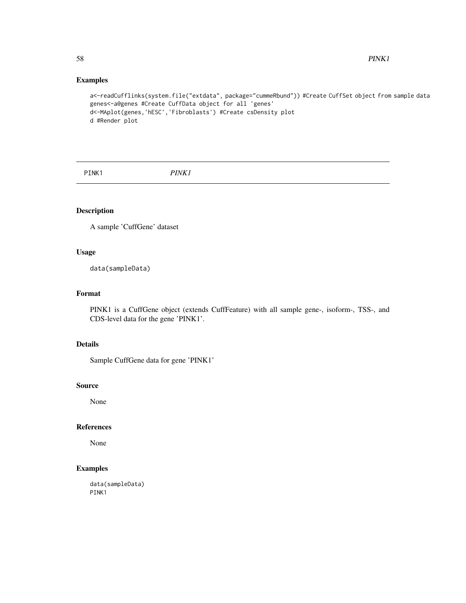## Examples

```
a<-readCufflinks(system.file("extdata", package="cummeRbund")) #Create CuffSet object from sample data
genes<-a@genes #Create CuffData object for all 'genes'
d<-MAplot(genes,'hESC','Fibroblasts') #Create csDensity plot
d #Render plot
```
PINK1 *PINK1*

# Description

A sample 'CuffGene' dataset

# Usage

data(sampleData)

# Format

PINK1 is a CuffGene object (extends CuffFeature) with all sample gene-, isoform-, TSS-, and CDS-level data for the gene 'PINK1'.

# Details

Sample CuffGene data for gene 'PINK1'

#### Source

None

# References

None

## Examples

data(sampleData) PINK1

<span id="page-57-0"></span>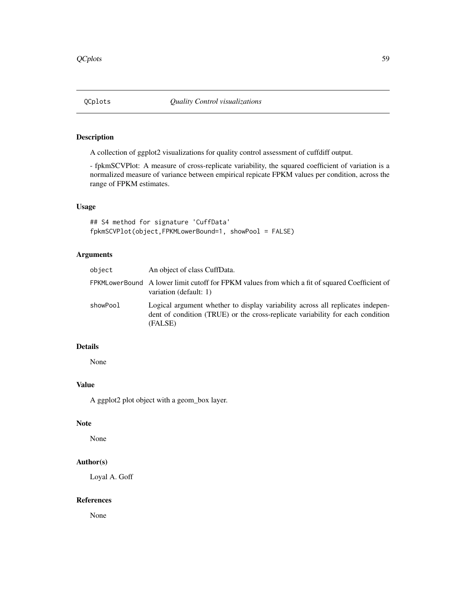<span id="page-58-0"></span>

## Description

A collection of ggplot2 visualizations for quality control assessment of cuffdiff output.

- fpkmSCVPlot: A measure of cross-replicate variability, the squared coefficient of variation is a normalized measure of variance between empirical repicate FPKM values per condition, across the range of FPKM estimates.

#### Usage

## S4 method for signature 'CuffData' fpkmSCVPlot(object,FPKMLowerBound=1, showPool = FALSE)

## Arguments

| object   | An object of class CuffData.                                                                                                                                                |
|----------|-----------------------------------------------------------------------------------------------------------------------------------------------------------------------------|
|          | FPKMLowerBound A lower limit cutoff for FPKM values from which a fit of squared Coefficient of<br>variation (default: 1)                                                    |
| showPool | Logical argument whether to display variability across all replicates indepen-<br>dent of condition (TRUE) or the cross-replicate variability for each condition<br>(FALSE) |

## Details

None

# Value

A ggplot2 plot object with a geom\_box layer.

# Note

None

#### Author(s)

Loyal A. Goff

#### References

None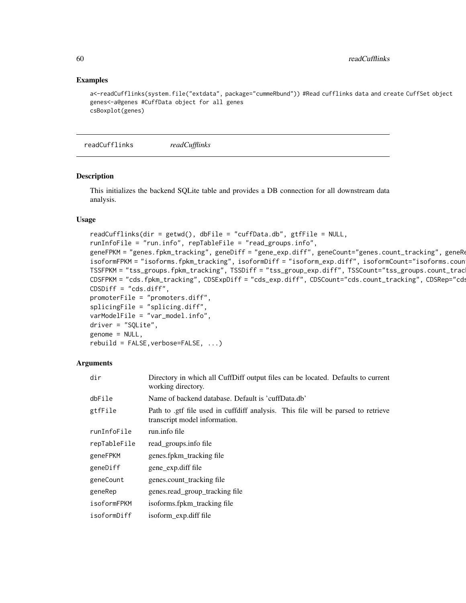#### Examples

```
a<-readCufflinks(system.file("extdata", package="cummeRbund")) #Read cufflinks data and create CuffSet object
genes<-a@genes #CuffData object for all genes
csBoxplot(genes)
```
readCufflinks *readCufflinks*

#### Description

This initializes the backend SQLite table and provides a DB connection for all downstream data analysis.

#### Usage

```
readCufflinks(dir = getwd(), dbFile = "cuffData.db", gtfFile = NULL,
runInfoFile = "run.info", repTableFile = "read_groups.info",
geneFPKM = "genes.fpkm_tracking", geneDiff = "gene_exp.diff", geneCount="genes.count_tracking", geneRe
isoformFPKM = "isoforms.fpkm_tracking", isoformDiff = "isoform_exp.diff", isoformCount="isoforms.coun
TSSFPKM = "tss_groups.fpkm_tracking", TSSDiff = "tss_group_exp.diff", TSSCount="tss_groups.count_trac
CDSFPKM = "cds.fpkm_tracking", CDSExpDiff = "cds_exp.diff", CDSCount="cds.count_tracking", CDSRep="cds
CDSDiff = "cds.diff",
promoterFile = "promoters.diff",
splicingFile = "splicing.diff",
varModelFile = "var_model.info",
driver = "SQLite",
genome = NULL,
rebuild = FALSE, verbose = FALSE, ...)
```
#### Arguments

| dir          | Directory in which all CuffDiff output files can be located. Defaults to current<br>working directory.            |
|--------------|-------------------------------------------------------------------------------------------------------------------|
| dbFile       | Name of backend database. Default is 'cuffData.db'                                                                |
| gtfFile      | Path to gtf file used in cuffdiff analysis. This file will be parsed to retrieve<br>transcript model information. |
| runInfoFile  | run.info file                                                                                                     |
| repTableFile | read groups.info file                                                                                             |
| geneFPKM     | genes.fpkm_tracking file                                                                                          |
| geneDiff     | gene_exp.diff file                                                                                                |
| geneCount    | genes.count_tracking file                                                                                         |
| geneRep      | genes.read_group_tracking file                                                                                    |
| isoformFPKM  | isoforms.fpkm_tracking file                                                                                       |
| isoformDiff  | isoform_exp.diff file                                                                                             |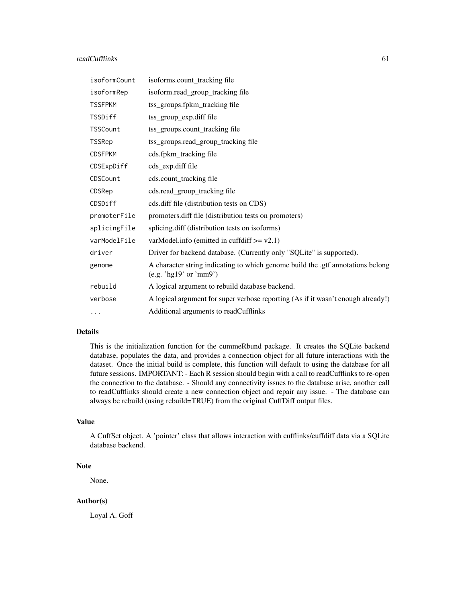#### readCufflinks 61

| isoformCount   | isoforms.count_tracking file                                                                              |
|----------------|-----------------------------------------------------------------------------------------------------------|
| isoformRep     | isoform.read_group_tracking file                                                                          |
| <b>TSSFPKM</b> | tss_groups.fpkm_tracking file                                                                             |
| TSSDiff        | tss_group_exp.diff file                                                                                   |
| TSSCount       | tss_groups.count_tracking file                                                                            |
| <b>TSSRep</b>  | tss_groups.read_group_tracking file                                                                       |
| <b>CDSFPKM</b> | cds.fpkm_tracking file                                                                                    |
| CDSExpDiff     | cds_exp.diff file                                                                                         |
| CDSCount       | cds.count_tracking file                                                                                   |
| CDSRep         | cds.read_group_tracking file                                                                              |
| CDSDiff        | cds.diff file (distribution tests on CDS)                                                                 |
| promoterFile   | promoters.diff file (distribution tests on promoters)                                                     |
| splicingFile   | splicing.diff (distribution tests on isoforms)                                                            |
| varModelFile   | varModel.info (emitted in cuffdiff $>= v2.1$ )                                                            |
| driver         | Driver for backend database. (Currently only "SQLite" is supported).                                      |
| genome         | A character string indicating to which genome build the .gtf annotations belong<br>(e.g. 'hg19' or 'mm9') |
| rebuild        | A logical argument to rebuild database backend.                                                           |
| verbose        | A logical argument for super verbose reporting (As if it wasn't enough already!)                          |
| $\cdots$       | Additional arguments to readCufflinks                                                                     |

#### Details

This is the initialization function for the cummeRbund package. It creates the SQLite backend database, populates the data, and provides a connection object for all future interactions with the dataset. Once the initial build is complete, this function will default to using the database for all future sessions. IMPORTANT: - Each R session should begin with a call to readCufflinks to re-open the connection to the database. - Should any connectivity issues to the database arise, another call to readCufflinks should create a new connection object and repair any issue. - The database can always be rebuild (using rebuild=TRUE) from the original CuffDiff output files.

#### Value

A CuffSet object. A 'pointer' class that allows interaction with cufflinks/cuffdiff data via a SQLite database backend.

## Note

None.

#### Author(s)

Loyal A. Goff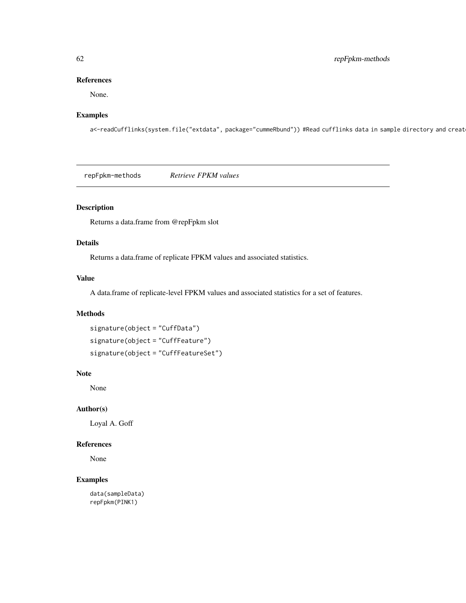## 62 repFpkm-methods

#### References

None.

## Examples

a<-readCufflinks(system.file("extdata", package="cummeRbund")) #Read cufflinks data in sample directory and creat

repFpkm-methods *Retrieve FPKM values*

# Description

Returns a data.frame from @repFpkm slot

## Details

Returns a data.frame of replicate FPKM values and associated statistics.

# Value

A data.frame of replicate-level FPKM values and associated statistics for a set of features.

#### Methods

```
signature(object = "CuffData")
signature(object = "CuffFeature")
signature(object = "CuffFeatureSet")
```
#### Note

None

#### Author(s)

Loyal A. Goff

#### References

None

## Examples

data(sampleData) repFpkm(PINK1)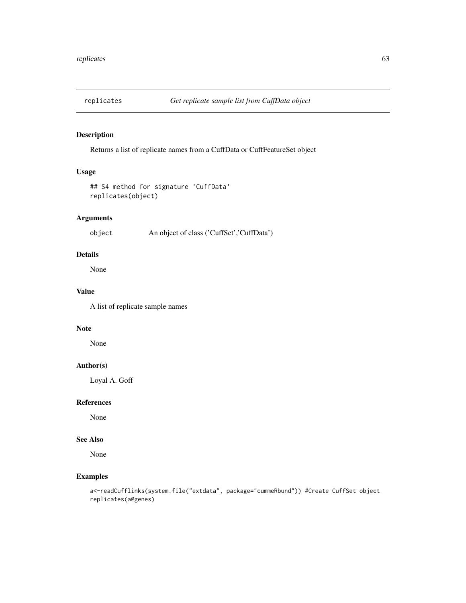## Description

Returns a list of replicate names from a CuffData or CuffFeatureSet object

# Usage

```
## S4 method for signature 'CuffData'
replicates(object)
```
# Arguments

object An object of class ('CuffSet','CuffData')

## Details

None

## Value

A list of replicate sample names

#### Note

None

## Author(s)

Loyal A. Goff

#### References

None

# See Also

None

## Examples

a<-readCufflinks(system.file("extdata", package="cummeRbund")) #Create CuffSet object replicates(a@genes)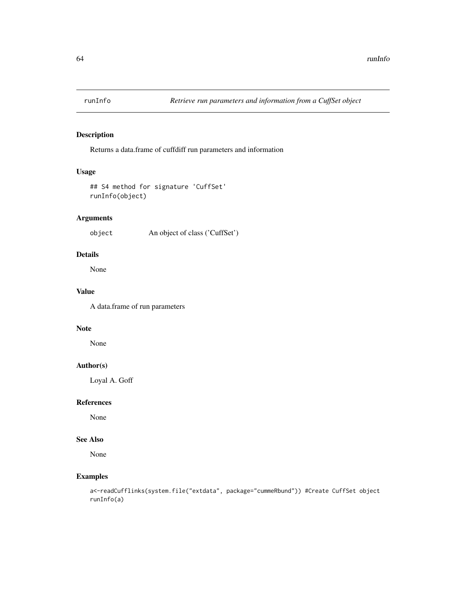## Description

Returns a data.frame of cuffdiff run parameters and information

# Usage

```
## S4 method for signature 'CuffSet'
runInfo(object)
```
# Arguments

object An object of class ('CuffSet')

#### Details

None

## Value

A data.frame of run parameters

## Note

None

## Author(s)

Loyal A. Goff

# References

None

# See Also

None

## Examples

a<-readCufflinks(system.file("extdata", package="cummeRbund")) #Create CuffSet object runInfo(a)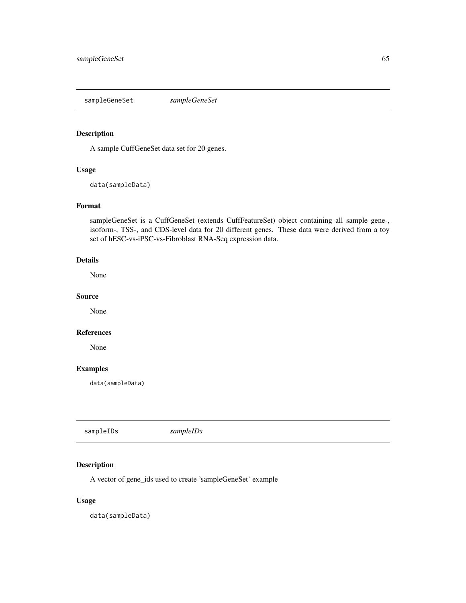<span id="page-64-0"></span>sampleGeneSet *sampleGeneSet*

## Description

A sample CuffGeneSet data set for 20 genes.

#### Usage

data(sampleData)

## Format

sampleGeneSet is a CuffGeneSet (extends CuffFeatureSet) object containing all sample gene-, isoform-, TSS-, and CDS-level data for 20 different genes. These data were derived from a toy set of hESC-vs-iPSC-vs-Fibroblast RNA-Seq expression data.

# Details

None

#### Source

None

## References

None

# Examples

data(sampleData)

sampleIDs *sampleIDs*

## Description

A vector of gene\_ids used to create 'sampleGeneSet' example

#### Usage

data(sampleData)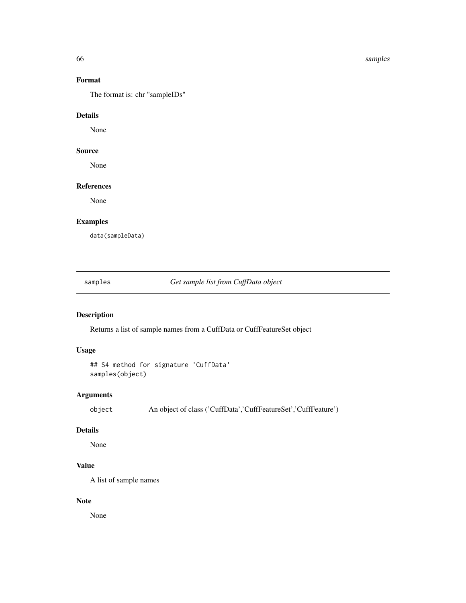66 samples and the samples of the samples of the samples of the samples of the samples of the samples of the samples

# Format

The format is: chr "sampleIDs"

#### Details

None

## Source

None

## References

None

# Examples

data(sampleData)

samples *Get sample list from CuffData object*

# Description

Returns a list of sample names from a CuffData or CuffFeatureSet object

## Usage

```
## S4 method for signature 'CuffData'
samples(object)
```
## Arguments

object An object of class ('CuffData','CuffFeatureSet','CuffFeature')

#### Details

None

# Value

A list of sample names

#### Note

None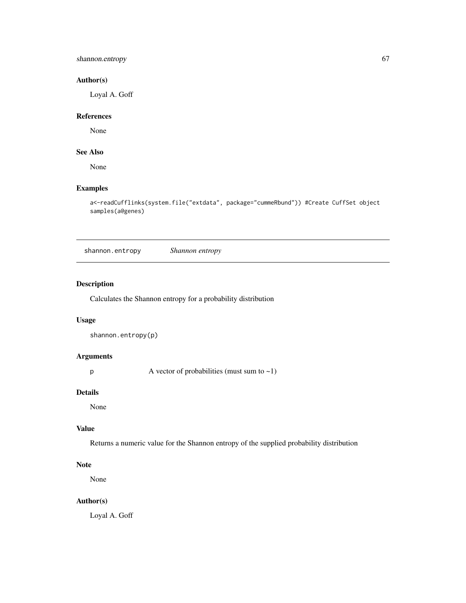shannon.entropy 67

#### Author(s)

Loyal A. Goff

#### References

None

# See Also

None

# Examples

```
a<-readCufflinks(system.file("extdata", package="cummeRbund")) #Create CuffSet object
samples(a@genes)
```
shannon.entropy *Shannon entropy*

## Description

Calculates the Shannon entropy for a probability distribution

## Usage

```
shannon.entropy(p)
```
#### Arguments

 $p \rightarrow A$  vector of probabilities (must sum to  $\sim 1$ )

#### Details

None

#### Value

Returns a numeric value for the Shannon entropy of the supplied probability distribution

# Note

None

# Author(s)

Loyal A. Goff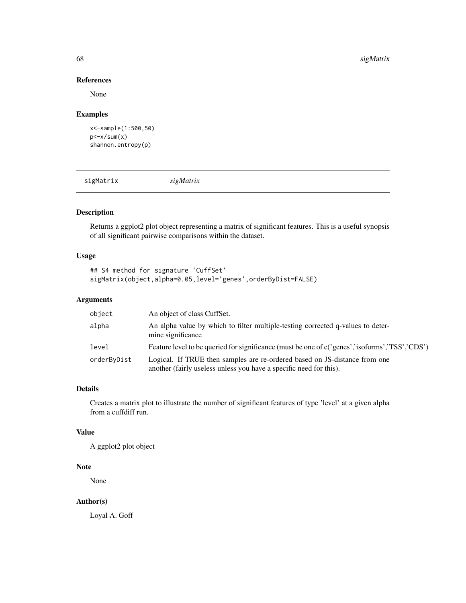#### References

None

#### Examples

```
x<-sample(1:500,50)
p<-x/sum(x)shannon.entropy(p)
```
sigMatrix *sigMatrix*

## Description

Returns a ggplot2 plot object representing a matrix of significant features. This is a useful synopsis of all significant pairwise comparisons within the dataset.

## Usage

```
## S4 method for signature 'CuffSet'
sigMatrix(object,alpha=0.05,level='genes',orderByDist=FALSE)
```
## Arguments

| object      | An object of class CuffSet.                                                                                                                      |
|-------------|--------------------------------------------------------------------------------------------------------------------------------------------------|
| alpha       | An alpha value by which to filter multiple-testing corrected q-values to deter-<br>mine significance                                             |
| level       | Feature level to be queried for significance (must be one of c('genes','isoforms','TSS','CDS')                                                   |
| orderByDist | Logical. If TRUE then samples are re-ordered based on JS-distance from one<br>another (fairly useless unless you have a specific need for this). |

#### Details

Creates a matrix plot to illustrate the number of significant features of type 'level' at a given alpha from a cuffdiff run.

#### Value

A ggplot2 plot object

# Note

None

# Author(s)

Loyal A. Goff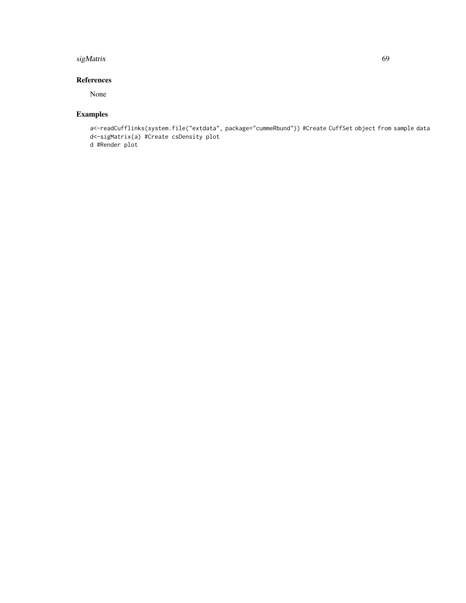#### sigMatrix 69

# References

None

# Examples

```
a<-readCufflinks(system.file("extdata", package="cummeRbund")) #Create CuffSet object from sample data
d<-sigMatrix(a) #Create csDensity plot
d #Render plot
```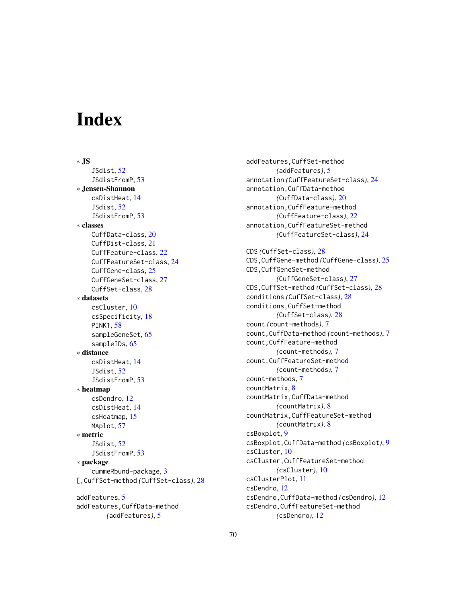# **Index**

∗ JS JSdist, [52](#page-51-0) JSdistFromP, [53](#page-52-0) ∗ Jensen-Shannon csDistHeat, [14](#page-13-0) JSdist, [52](#page-51-0) JSdistFromP, [53](#page-52-0) ∗ classes CuffData-class, [20](#page-19-0) CuffDist-class, [21](#page-20-0) CuffFeature-class, [22](#page-21-0) CuffFeatureSet-class, [24](#page-23-0) CuffGene-class, [25](#page-24-0) CuffGeneSet-class, [27](#page-26-0) CuffSet-class, [28](#page-27-0) ∗ datasets csCluster, [10](#page-9-0) csSpecificity, [18](#page-17-0) PINK1, [58](#page-57-0) sampleGeneSet, [65](#page-64-0) sampleIDs, [65](#page-64-0) ∗ distance csDistHeat, [14](#page-13-0) JSdist, [52](#page-51-0) JSdistFromP, [53](#page-52-0) ∗ heatmap csDendro, [12](#page-11-0) csDistHeat, [14](#page-13-0) csHeatmap, [15](#page-14-0) MAplot, [57](#page-56-0) ∗ metric JSdist, [52](#page-51-0) JSdistFromP, [53](#page-52-0) ∗ package cummeRbund-package, [3](#page-2-0) [,CuffSet-method *(*CuffSet-class*)*, [28](#page-27-0) addFeatures, [5](#page-4-0) addFeatures,CuffData-method

*(*addFeatures*)*, [5](#page-4-0)

addFeatures,CuffSet-method *(*addFeatures*)*, [5](#page-4-0) annotation *(*CuffFeatureSet-class*)*, [24](#page-23-0) annotation,CuffData-method *(*CuffData-class*)*, [20](#page-19-0) annotation,CuffFeature-method *(*CuffFeature-class*)*, [22](#page-21-0) annotation,CuffFeatureSet-method *(*CuffFeatureSet-class*)*, [24](#page-23-0) CDS *(*CuffSet-class*)*, [28](#page-27-0) CDS,CuffGene-method *(*CuffGene-class*)*, [25](#page-24-0) CDS,CuffGeneSet-method *(*CuffGeneSet-class*)*, [27](#page-26-0) CDS,CuffSet-method *(*CuffSet-class*)*, [28](#page-27-0) conditions *(*CuffSet-class*)*, [28](#page-27-0) conditions,CuffSet-method *(*CuffSet-class*)*, [28](#page-27-0) count *(*count-methods*)*, [7](#page-6-0) count,CuffData-method *(*count-methods*)*, [7](#page-6-0) count,CuffFeature-method *(*count-methods*)*, [7](#page-6-0) count,CuffFeatureSet-method *(*count-methods*)*, [7](#page-6-0) count-methods, [7](#page-6-0) countMatrix, [8](#page-7-0) countMatrix,CuffData-method *(*countMatrix*)*, [8](#page-7-0) countMatrix,CuffFeatureSet-method *(*countMatrix*)*, [8](#page-7-0) csBoxplot, [9](#page-8-0) csBoxplot,CuffData-method *(*csBoxplot*)*, [9](#page-8-0) csCluster, [10](#page-9-0) csCluster,CuffFeatureSet-method *(*csCluster*)*, [10](#page-9-0) csClusterPlot, [11](#page-10-0) csDendro, [12](#page-11-0) csDendro,CuffData-method *(*csDendro*)*, [12](#page-11-0) csDendro,CuffFeatureSet-method *(*csDendro*)*, [12](#page-11-0)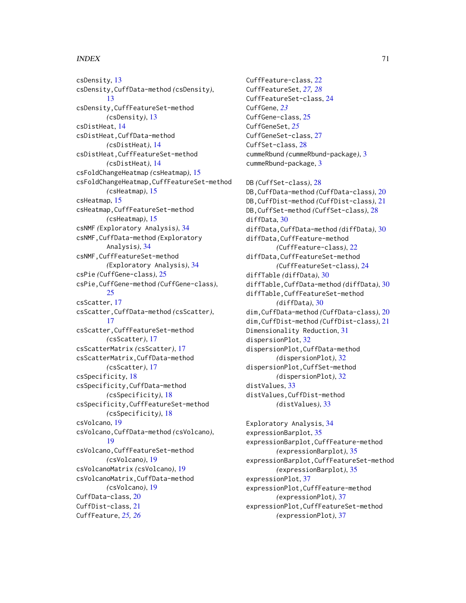#### $I<sub>N</sub>$  in  $I<sub>1</sub>$  is  $I<sub>2</sub>$  in  $I<sub>3</sub>$  in  $I<sub>4</sub>$  in  $I<sub>5</sub>$  in  $I<sub>6</sub>$  in  $I<sub>7</sub>$  in  $I<sub>8</sub>$  in  $I<sub>9</sub>$  in  $I<sub>9</sub>$  in  $I<sub>9</sub>$  in  $I<sub>9</sub>$  in  $I<sub>9</sub>$  in  $I<sub>9</sub>$  in  $I<sub>9</sub>$  i

csDensity, [13](#page-12-0) csDensity,CuffData-method *(*csDensity*)*, [13](#page-12-0) csDensity,CuffFeatureSet-method *(*csDensity*)*, [13](#page-12-0) csDistHeat, [14](#page-13-0) csDistHeat,CuffData-method *(*csDistHeat*)*, [14](#page-13-0) csDistHeat,CuffFeatureSet-method *(*csDistHeat*)*, [14](#page-13-0) csFoldChangeHeatmap *(*csHeatmap*)*, [15](#page-14-0) csFoldChangeHeatmap,CuffFeatureSet-method *(*csHeatmap*)*, [15](#page-14-0) csHeatmap, [15](#page-14-0) csHeatmap,CuffFeatureSet-method *(*csHeatmap*)*, [15](#page-14-0) csNMF *(*Exploratory Analysis*)*, [34](#page-33-0) csNMF,CuffData-method *(*Exploratory Analysis*)*, [34](#page-33-0) csNMF,CuffFeatureSet-method *(*Exploratory Analysis*)*, [34](#page-33-0) csPie *(*CuffGene-class*)*, [25](#page-24-0) csPie,CuffGene-method *(*CuffGene-class*)*,  $25$ csScatter, [17](#page-16-0) csScatter,CuffData-method *(*csScatter*)*, [17](#page-16-0) csScatter,CuffFeatureSet-method *(*csScatter*)*, [17](#page-16-0) csScatterMatrix *(*csScatter*)*, [17](#page-16-0) csScatterMatrix,CuffData-method *(*csScatter*)*, [17](#page-16-0) csSpecificity, [18](#page-17-0) csSpecificity,CuffData-method *(*csSpecificity*)*, [18](#page-17-0) csSpecificity,CuffFeatureSet-method *(*csSpecificity*)*, [18](#page-17-0) csVolcano, [19](#page-18-0) csVolcano,CuffData-method *(*csVolcano*)*, [19](#page-18-0) csVolcano,CuffFeatureSet-method *(*csVolcano*)*, [19](#page-18-0) csVolcanoMatrix *(*csVolcano*)*, [19](#page-18-0) csVolcanoMatrix,CuffData-method *(*csVolcano*)*, [19](#page-18-0) CuffData-class, [20](#page-19-0) CuffDist-class, [21](#page-20-0) CuffFeature, *[25,](#page-24-0) [26](#page-25-0)*

CuffFeature-class, [22](#page-21-0) CuffFeatureSet, *[27,](#page-26-0) [28](#page-27-0)* CuffFeatureSet-class, [24](#page-23-0) CuffGene, *[23](#page-22-0)* CuffGene-class, [25](#page-24-0) CuffGeneSet, *[25](#page-24-0)* CuffGeneSet-class, [27](#page-26-0) CuffSet-class, [28](#page-27-0) cummeRbund *(*cummeRbund-package*)*, [3](#page-2-0) cummeRbund-package, [3](#page-2-0) DB *(*CuffSet-class*)*, [28](#page-27-0) DB,CuffData-method *(*CuffData-class*)*, [20](#page-19-0) DB,CuffDist-method *(*CuffDist-class*)*, [21](#page-20-0) DB,CuffSet-method *(*CuffSet-class*)*, [28](#page-27-0) diffData, [30](#page-29-0) diffData,CuffData-method *(*diffData*)*, [30](#page-29-0) diffData,CuffFeature-method *(*CuffFeature-class*)*, [22](#page-21-0) diffData,CuffFeatureSet-method *(*CuffFeatureSet-class*)*, [24](#page-23-0) diffTable *(*diffData*)*, [30](#page-29-0) diffTable,CuffData-method *(*diffData*)*, [30](#page-29-0) diffTable,CuffFeatureSet-method *(*diffData*)*, [30](#page-29-0) dim,CuffData-method *(*CuffData-class*)*, [20](#page-19-0) dim,CuffDist-method *(*CuffDist-class*)*, [21](#page-20-0) Dimensionality Reduction, [31](#page-30-0) dispersionPlot, [32](#page-31-0) dispersionPlot,CuffData-method *(*dispersionPlot*)*, [32](#page-31-0) dispersionPlot,CuffSet-method *(*dispersionPlot*)*, [32](#page-31-0) distValues, [33](#page-32-0) distValues,CuffDist-method *(*distValues*)*, [33](#page-32-0)

Exploratory Analysis, [34](#page-33-0) expressionBarplot, [35](#page-34-0) expressionBarplot,CuffFeature-method *(*expressionBarplot*)*, [35](#page-34-0) expressionBarplot,CuffFeatureSet-method *(*expressionBarplot*)*, [35](#page-34-0) expressionPlot, [37](#page-36-0) expressionPlot,CuffFeature-method *(*expressionPlot*)*, [37](#page-36-0) expressionPlot,CuffFeatureSet-method *(*expressionPlot*)*, [37](#page-36-0)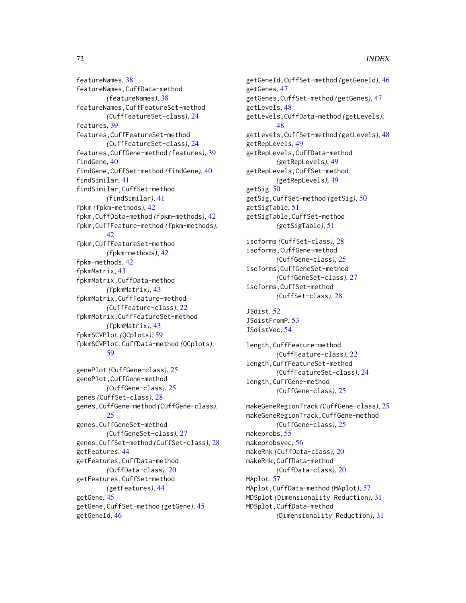featureNames, [38](#page-37-0) featureNames,CuffData-method *(*featureNames*)*, [38](#page-37-0) featureNames,CuffFeatureSet-method *(*CuffFeatureSet-class*)*, [24](#page-23-0) features, [39](#page-38-0) features,CuffFeatureSet-method *(*CuffFeatureSet-class*)*, [24](#page-23-0) features,CuffGene-method *(*features*)*, [39](#page-38-0) findGene, [40](#page-39-0) findGene,CuffSet-method *(*findGene*)*, [40](#page-39-0) findSimilar, [41](#page-40-0) findSimilar,CuffSet-method *(*findSimilar*)*, [41](#page-40-0) fpkm *(*fpkm-methods*)*, [42](#page-41-0) fpkm,CuffData-method *(*fpkm-methods*)*, [42](#page-41-0) fpkm,CuffFeature-method *(*fpkm-methods*)*, [42](#page-41-0) fpkm,CuffFeatureSet-method *(*fpkm-methods*)*, [42](#page-41-0) fpkm-methods, [42](#page-41-0) fpkmMatrix, [43](#page-42-0) fpkmMatrix,CuffData-method *(*fpkmMatrix*)*, [43](#page-42-0) fpkmMatrix,CuffFeature-method *(*CuffFeature-class*)*, [22](#page-21-0) fpkmMatrix,CuffFeatureSet-method *(*fpkmMatrix*)*, [43](#page-42-0) fpkmSCVPlot *(*QCplots*)*, [59](#page-58-0) fpkmSCVPlot,CuffData-method *(*QCplots*)*, [59](#page-58-0) genePlot *(*CuffGene-class*)*, [25](#page-24-0) genePlot,CuffGene-method *(*CuffGene-class*)*, [25](#page-24-0)

genes *(*CuffSet-class*)*, [28](#page-27-0) genes,CuffGene-method *(*CuffGene-class*)*, [25](#page-24-0) genes,CuffGeneSet-method *(*CuffGeneSet-class*)*, [27](#page-26-0) genes,CuffSet-method *(*CuffSet-class*)*, [28](#page-27-0) getFeatures, [44](#page-43-0) getFeatures,CuffData-method *(*CuffData-class*)*, [20](#page-19-0) getFeatures,CuffSet-method *(*getFeatures*)*, [44](#page-43-0) getGene, [45](#page-44-0) getGene,CuffSet-method *(*getGene*)*, [45](#page-44-0) getGeneId, [46](#page-45-0)

getGeneId,CuffSet-method *(*getGeneId*)*, [46](#page-45-0) getGenes, [47](#page-46-0) getGenes,CuffSet-method *(*getGenes*)*, [47](#page-46-0) getLevels, [48](#page-47-0) getLevels,CuffData-method *(*getLevels*)*, [48](#page-47-0) getLevels,CuffSet-method *(*getLevels*)*, [48](#page-47-0) getRepLevels, [49](#page-48-0) getRepLevels,CuffData-method *(*getRepLevels*)*, [49](#page-48-0) getRepLevels,CuffSet-method *(*getRepLevels*)*, [49](#page-48-0) getSig, [50](#page-49-0) getSig,CuffSet-method *(*getSig*)*, [50](#page-49-0) getSigTable, [51](#page-50-0) getSigTable,CuffSet-method *(*getSigTable*)*, [51](#page-50-0) isoforms *(*CuffSet-class*)*, [28](#page-27-0) isoforms,CuffGene-method *(*CuffGene-class*)*, [25](#page-24-0) isoforms,CuffGeneSet-method

*(*CuffGeneSet-class*)*, [27](#page-26-0) isoforms,CuffSet-method *(*CuffSet-class*)*, [28](#page-27-0)

```
JSdist, 52
JSdistFromP, 53
JSdistVec, 54
```
length,CuffFeature-method *(*CuffFeature-class*)*, [22](#page-21-0) length,CuffFeatureSet-method *(*CuffFeatureSet-class*)*, [24](#page-23-0) length,CuffGene-method *(*CuffGene-class*)*, [25](#page-24-0)

makeGeneRegionTrack *(*CuffGene-class*)*, [25](#page-24-0) makeGeneRegionTrack,CuffGene-method *(*CuffGene-class*)*, [25](#page-24-0) makeprobs, [55](#page-54-0) makeprobsvec, [56](#page-55-0) makeRnk *(*CuffData-class*)*, [20](#page-19-0) makeRnk,CuffData-method *(*CuffData-class*)*, [20](#page-19-0) MAplot, [57](#page-56-0) MAplot,CuffData-method *(*MAplot*)*, [57](#page-56-0) MDSplot *(*Dimensionality Reduction*)*, [31](#page-30-0) MDSplot,CuffData-method *(*Dimensionality Reduction*)*, [31](#page-30-0)